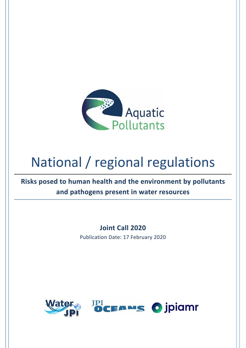

# National / regional regulations

**Risks posed to human health and the environment by pollutants and pathogens present in water resources**

> **Joint Call 2020**  Publication Date: 17 February 2020

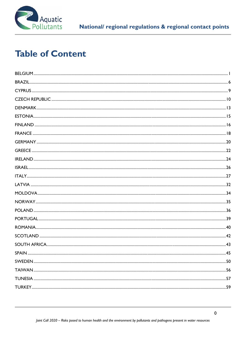

# **Table of Content**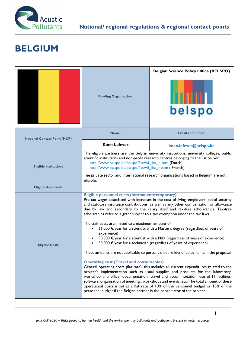

### **BELGIUM**

|                                     | <b>Funding Organisation:</b>                                                                                                                                                                                                                                                                                                                                                                                                                                                                                                                                                                                                                                                                                                                                                                                                                                                                                                                                                                                                                                                                                                                                                                                                                                                                                                                                                                                   | <b>Belgian Science Policy Office (BELSPO)</b><br>belspo |  |
|-------------------------------------|----------------------------------------------------------------------------------------------------------------------------------------------------------------------------------------------------------------------------------------------------------------------------------------------------------------------------------------------------------------------------------------------------------------------------------------------------------------------------------------------------------------------------------------------------------------------------------------------------------------------------------------------------------------------------------------------------------------------------------------------------------------------------------------------------------------------------------------------------------------------------------------------------------------------------------------------------------------------------------------------------------------------------------------------------------------------------------------------------------------------------------------------------------------------------------------------------------------------------------------------------------------------------------------------------------------------------------------------------------------------------------------------------------------|---------------------------------------------------------|--|
| <b>National Contact Point (NCP)</b> | Name:                                                                                                                                                                                                                                                                                                                                                                                                                                                                                                                                                                                                                                                                                                                                                                                                                                                                                                                                                                                                                                                                                                                                                                                                                                                                                                                                                                                                          | <b>Email and Phone:</b>                                 |  |
|                                     | <b>Koen Lefever</b>                                                                                                                                                                                                                                                                                                                                                                                                                                                                                                                                                                                                                                                                                                                                                                                                                                                                                                                                                                                                                                                                                                                                                                                                                                                                                                                                                                                            | koen.lefever@belspo.be                                  |  |
| <b>Eligible Institutions</b>        | The eligible partners are the Belgian university institutions, university colleges, public<br>scientific institutions and non-profit research centres belonging to the list below:<br>http://www.belspo.be/belspo/fisc/wi_list_nl.stm (Dutch)<br>http://www.belspo.be/belspo/fisc/wi_list_fr.stm (French)<br>The private sector and international research organisations based in Belgium are not                                                                                                                                                                                                                                                                                                                                                                                                                                                                                                                                                                                                                                                                                                                                                                                                                                                                                                                                                                                                              |                                                         |  |
|                                     | eligible.                                                                                                                                                                                                                                                                                                                                                                                                                                                                                                                                                                                                                                                                                                                                                                                                                                                                                                                                                                                                                                                                                                                                                                                                                                                                                                                                                                                                      |                                                         |  |
| <b>Eligible Applicants</b>          |                                                                                                                                                                                                                                                                                                                                                                                                                                                                                                                                                                                                                                                                                                                                                                                                                                                                                                                                                                                                                                                                                                                                                                                                                                                                                                                                                                                                                |                                                         |  |
| <b>Eligible Costs</b>               | Eligible personnel costs (permanent/temporary)<br>Pre-tax wages associated with increases in the cost of living, employers' social security<br>and statutory insurance contributions, as well as any other compensation or allowance<br>due by law and secondary to the salary itself and tax-free scholarships. Tax-free<br>scholarships refer to a grant subject to a tax exemption under the tax laws.<br>The staff costs are limited to a maximum amount of:<br>66.000 €/year for a scientist with a Master's degree (regardless of years of<br>experience)<br>90.000 €/year for a scientist with a PhD (regardless of years of experience)<br>50.000 €/year for a technician (regardless of years of experience)<br>Those amounts are not applicable to persons that are identified by name in the proposal.<br><b>Operating cost (Travel and consumables)</b><br>General operating costs (flat rate): this includes all current expenditures related to the<br>project's implementation such as usual supplies and products for the laboratory,<br>workshop and office, documentation, travel and accommodation, use of IT facilities,<br>software, organisation of meetings, workshops and events, etc. The total amount of these<br>operational costs is set at a flat rate of 10% of the personnel budget or 15% of the<br>personnel budget if the Belgian partner is the coordinator of the project. |                                                         |  |

the contract of the contract of the contract of the contract of the contract of the contract of the contract of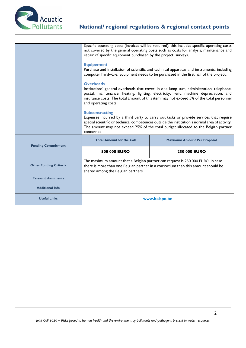

|                               | Specific operating costs (invoices will be required): this includes specific operating costs<br>not covered by the general operating costs such as costs for analysis, maintenance and<br>repair of specific equipment purchased by the project, surveys.                                                              |                                    |  |
|-------------------------------|------------------------------------------------------------------------------------------------------------------------------------------------------------------------------------------------------------------------------------------------------------------------------------------------------------------------|------------------------------------|--|
|                               | <b>Equipement</b><br>Purchase and installation of scientific and technical apparatus and instruments, including<br>computer hardware. Equipment needs to be purchased in the first half of the project.                                                                                                                |                                    |  |
|                               | <b>Overheads</b><br>Institutions' general overheads that cover, in one lump sum, administration, telephone,<br>postal, maintenance, heating, lighting, electricity, rent, machine depreciation, and<br>insurance costs. The total amount of this item may not exceed 5% of the total personnel<br>and operating costs. |                                    |  |
|                               | <b>Subcontracting</b><br>Expenses incurred by a third party to carry out tasks or provide services that require<br>special scientific or technical competences outside the institution's normal area of activity.<br>The amount may not exceed 25% of the total budget allocated to the Belgian partner<br>concerned.  |                                    |  |
| <b>Funding Commitment</b>     | <b>Total Amount for the Call</b>                                                                                                                                                                                                                                                                                       | <b>Maximum Amount Per Proposal</b> |  |
|                               | 500 000 EURO                                                                                                                                                                                                                                                                                                           | <b>250 000 EURO</b>                |  |
| <b>Other Funding Criteria</b> | The maximum amount that a Belgian partner can request is 250 000 EURO. In case<br>there is more than one Belgian partner in a consortium than this amount should be<br>shared among the Belgian partners.                                                                                                              |                                    |  |
| <b>Relevant documents</b>     |                                                                                                                                                                                                                                                                                                                        |                                    |  |
| <b>Additional Info</b>        |                                                                                                                                                                                                                                                                                                                        |                                    |  |
| <b>Useful Links</b>           | www.belspo.be                                                                                                                                                                                                                                                                                                          |                                    |  |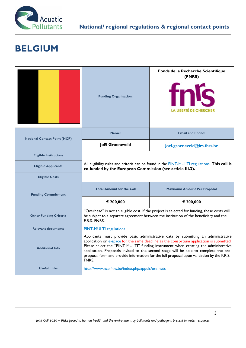

#### **BELGIUM**

|                                     | <b>Funding Organisation:</b>                                                                                                                                                                                                                                                                                                                                                                                                                                       | Fonds de la Recherche Scientifique<br>(FNRS)<br>tnis<br><b>LA LIBERTÉ DE CHERCHER</b> |  |  |
|-------------------------------------|--------------------------------------------------------------------------------------------------------------------------------------------------------------------------------------------------------------------------------------------------------------------------------------------------------------------------------------------------------------------------------------------------------------------------------------------------------------------|---------------------------------------------------------------------------------------|--|--|
| <b>National Contact Point (NCP)</b> | Name:                                                                                                                                                                                                                                                                                                                                                                                                                                                              | <b>Email and Phone:</b>                                                               |  |  |
|                                     | Joël Groeneveld                                                                                                                                                                                                                                                                                                                                                                                                                                                    | joel.groeneveld@frs-fnrs.be                                                           |  |  |
| <b>Eligible Institutions</b>        |                                                                                                                                                                                                                                                                                                                                                                                                                                                                    |                                                                                       |  |  |
| <b>Eligible Applicants</b>          | All eligibility rules and criteria can be found in the PINT-MULTI regulations. This call is<br>co-funded by the European Commission (see article III.3).                                                                                                                                                                                                                                                                                                           |                                                                                       |  |  |
| <b>Eligible Costs</b>               |                                                                                                                                                                                                                                                                                                                                                                                                                                                                    |                                                                                       |  |  |
| <b>Funding Commitment</b>           | <b>Total Amount for the Call</b><br><b>Maximum Amount Per Proposal</b>                                                                                                                                                                                                                                                                                                                                                                                             |                                                                                       |  |  |
|                                     | € 200,000                                                                                                                                                                                                                                                                                                                                                                                                                                                          | € 200,000                                                                             |  |  |
| <b>Other Funding Criteria</b>       | "Overhead" is not an eligible cost. If the project is selected for funding, these costs will<br>be subject to a separate agreement between the institution of the beneficiary and the<br>F.R.S.-FNRS.                                                                                                                                                                                                                                                              |                                                                                       |  |  |
| <b>Relevant documents</b>           | <b>PINT-MULTI regulations</b>                                                                                                                                                                                                                                                                                                                                                                                                                                      |                                                                                       |  |  |
| <b>Additional Info</b>              | Applicants must provide basic administrative data by submitting an administrative<br>application on e-space for the same deadline as the consortium application is submitted.<br>Please select the "PINT-MULTI" funding instrument when creating the administrative<br>application. Proposals invited to the second stage will be able to complete the pre-<br>proposal form and provide information for the full proposal upon validation by the F.R.S.-<br>FNRS. |                                                                                       |  |  |
| <b>Useful Links</b>                 | http://www.ncp.fnrs.be/index.php/appels/era-nets                                                                                                                                                                                                                                                                                                                                                                                                                   |                                                                                       |  |  |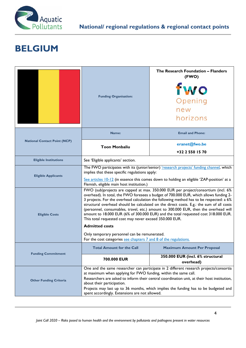

### **BELGIUM**

|                                     | <b>Funding Organisation:</b>                                                                                                                                                                                                                                                                                                                                                                                                                                                                                                                                                                                | The Research Foundation - Flanders<br>(FWO)<br>fwo<br>Opening<br>new<br>horizons |  |  |
|-------------------------------------|-------------------------------------------------------------------------------------------------------------------------------------------------------------------------------------------------------------------------------------------------------------------------------------------------------------------------------------------------------------------------------------------------------------------------------------------------------------------------------------------------------------------------------------------------------------------------------------------------------------|----------------------------------------------------------------------------------|--|--|
|                                     | Name:                                                                                                                                                                                                                                                                                                                                                                                                                                                                                                                                                                                                       | <b>Email and Phone:</b>                                                          |  |  |
| <b>National Contact Point (NCP)</b> | <b>Toon Monbaliu</b>                                                                                                                                                                                                                                                                                                                                                                                                                                                                                                                                                                                        | eranet@fwo.be                                                                    |  |  |
|                                     |                                                                                                                                                                                                                                                                                                                                                                                                                                                                                                                                                                                                             | +32 2 550 15 70                                                                  |  |  |
| <b>Eligible Institutions</b>        | See 'Eligible applicants' section.                                                                                                                                                                                                                                                                                                                                                                                                                                                                                                                                                                          |                                                                                  |  |  |
| <b>Eligible Applicants</b>          | The FWO participates with its (junior/senior) 'research projects' funding channel, which<br>implies that these specific regulations apply:                                                                                                                                                                                                                                                                                                                                                                                                                                                                  |                                                                                  |  |  |
|                                     | See articles $10-12$ (in essence this comes down to holding an eligible 'ZAP-position' at a<br>Flemish, eligible main host institution.)                                                                                                                                                                                                                                                                                                                                                                                                                                                                    |                                                                                  |  |  |
| <b>Eligible Costs</b>               | FWO (sub)projects are capped at max. 350.000 EUR per project/consortium (incl. 6%<br>overhead). In total, the FWO foresees a budget of 700.000 EUR, which allows funding 2-<br>3 projects. For the overhead calculation the following method has to be respected: a 6%<br>structural overhead should be calculated on the direct costs. E.g.: the sum of all costs<br>(personnel, consumables, travel, etc.) amount to 300.000 EUR, then the overhead will<br>amount to 18.000 EUR (6% of 300.000 EUR) and the total requested cost 318.000 EUR.<br>This total requested cost may never exceed 350.000 EUR. |                                                                                  |  |  |
|                                     | <b>Admitted costs</b>                                                                                                                                                                                                                                                                                                                                                                                                                                                                                                                                                                                       |                                                                                  |  |  |
|                                     | Only temporary personnel can be remunerated.<br>For the cost categories see chapters 7 and 8 of the regulations.                                                                                                                                                                                                                                                                                                                                                                                                                                                                                            |                                                                                  |  |  |
| <b>Funding Commitment</b>           | <b>Total Amount for the Call</b>                                                                                                                                                                                                                                                                                                                                                                                                                                                                                                                                                                            | <b>Maximum Amount Per Proposal</b>                                               |  |  |
|                                     | 700.000 EUR                                                                                                                                                                                                                                                                                                                                                                                                                                                                                                                                                                                                 | 350.000 EUR (incl. 6% structural<br>overhead)                                    |  |  |
| <b>Other Funding Criteria</b>       | One and the same researcher can participate in 2 different research projects/consortia<br>at maximum when applying for FWO funding, within the same call.<br>Researchers are asked to inform their central coordination unit, at their host institution,<br>about their participation.<br>Projects may last up to 36 months, which implies the funding has to be budgeted and<br>spent accordingly. Extensions are not allowed.                                                                                                                                                                             |                                                                                  |  |  |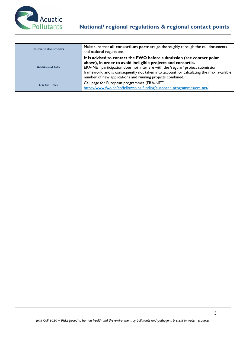

| <b>Relevant documents</b> | Make sure that all consortium partners go thoroughly through the call documents<br>and national regulations.                                                                                                                                                                                                                                                                     |
|---------------------------|----------------------------------------------------------------------------------------------------------------------------------------------------------------------------------------------------------------------------------------------------------------------------------------------------------------------------------------------------------------------------------|
| <b>Additional Info</b>    | It is advised to contact the FWO before submission (see contact point<br>above), in order to avoid ineligible projects and consortia.<br>ERA-NET participation does not interfere with the 'regular' project submission<br>framework, and is consequently not taken into account for calculating the max. available<br>number of new applications and running projects combined. |
| <b>Useful Links</b>       | Call page for European programmes (ERA-NET)<br>https://www.fwo.be/en/fellowships-funding/european-programmes/era-net/                                                                                                                                                                                                                                                            |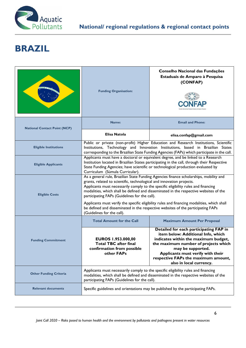

# **BRAZIL**

|                                     | <b>Funding Organisation:</b>                                                                                                                                                                                                                                                                                                                                                                                                                                                                                                                                                                                     | Conselho Nacional das Fundações<br>Estaduais de Amparo à Pesquisa<br>(CONFAP)                                                                                                                                                                                           |  |
|-------------------------------------|------------------------------------------------------------------------------------------------------------------------------------------------------------------------------------------------------------------------------------------------------------------------------------------------------------------------------------------------------------------------------------------------------------------------------------------------------------------------------------------------------------------------------------------------------------------------------------------------------------------|-------------------------------------------------------------------------------------------------------------------------------------------------------------------------------------------------------------------------------------------------------------------------|--|
| <b>National Contact Point (NCP)</b> | Name:                                                                                                                                                                                                                                                                                                                                                                                                                                                                                                                                                                                                            | <b>Email and Phone:</b>                                                                                                                                                                                                                                                 |  |
|                                     | Elisa Natola                                                                                                                                                                                                                                                                                                                                                                                                                                                                                                                                                                                                     | elisa.confap@gmail.com                                                                                                                                                                                                                                                  |  |
| <b>Eligible Institutions</b>        |                                                                                                                                                                                                                                                                                                                                                                                                                                                                                                                                                                                                                  | Public or private (non-profit) Higher Education and Research Institutions, Scientific<br>Institutions, Technology and Innovation Institutions, based in Brazilian States<br>corresponding to the Brazilian State Funding Agencies (FAPs) which participate in the call. |  |
| <b>Eligible Applicants</b>          | Applicants must have a doctoral or equivalent degree, and be linked to a Research<br>Institution located in Brazilian States participating in the call, through their Respective<br>State Funding Agencies; have scientific or technological production evaluated by<br>Curriculum (Súmula Curricular).                                                                                                                                                                                                                                                                                                          |                                                                                                                                                                                                                                                                         |  |
| <b>Eligible Costs</b>               | As a general rule, Brazilian State Funding Agencies finance scholarships, mobility and<br>grants, related to scientific, technological and innovation projects.<br>Applicants must necessarily comply to the specific eligibility rules and financing<br>modalities, which shall be defined and disseminated in the respective websites of the<br>participating FAPs (Guidelines for the call).<br>Applicants must verify the specific eligibility rules and financing modalities, which shall<br>be defined and disseminated in the respective websites of the participating FAPs<br>(Guidelines for the call). |                                                                                                                                                                                                                                                                         |  |
|                                     | <b>Total Amount for the Call</b><br><b>Maximum Amount Per Proposal</b>                                                                                                                                                                                                                                                                                                                                                                                                                                                                                                                                           |                                                                                                                                                                                                                                                                         |  |
| <b>Funding Commitment</b>           | Detailed for each participating FAP in<br>item below: Additional Info, which<br>EUROS 1.953.000,00<br>indicates within the maximum budget,<br><b>Total TBC after final</b><br>the maximum number of projects which<br>confirmation from possible<br>may be supported.<br>Applicants must verify with their<br>other FAPs<br>respective FAPs the maximum amount,<br>also in local currency.                                                                                                                                                                                                                       |                                                                                                                                                                                                                                                                         |  |
| <b>Other Funding Criteria</b>       | Applicants must necessarily comply to the specific eligibility rules and financing<br>modalities, which shall be defined and disseminated in the respective websites of the<br>participating FAPs (Guidelines for the call).                                                                                                                                                                                                                                                                                                                                                                                     |                                                                                                                                                                                                                                                                         |  |
| <b>Relevant documents</b>           | Specific guidelines and orientations may be published by the participating FAPs.                                                                                                                                                                                                                                                                                                                                                                                                                                                                                                                                 |                                                                                                                                                                                                                                                                         |  |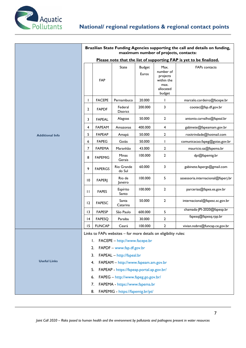

|                        | Brazilian State Funding Agencies supporting the call and details on funding,<br>maximum number of projects, contacts: |                |                                     |                        |                                                                            |                                    |
|------------------------|-----------------------------------------------------------------------------------------------------------------------|----------------|-------------------------------------|------------------------|----------------------------------------------------------------------------|------------------------------------|
|                        | Please note that the list of supporting FAP is yet to be finalized.                                                   |                |                                     |                        |                                                                            |                                    |
|                        |                                                                                                                       | <b>FAP</b>     | State                               | <b>Budget</b><br>Euros | Max.<br>number of<br>projects<br>within the<br>max.<br>allocated<br>budget | <b>FAPs</b> contacts               |
|                        |                                                                                                                       | <b>FACEPE</b>  | Pernambuco                          | 20.000                 | L                                                                          | marcelo.cordeiro@facepe.br         |
|                        | $\overline{2}$                                                                                                        | <b>FAPDF</b>   | Federal<br>District                 | 200.000                | 3                                                                          | cootec@fap.df.gov.br               |
|                        | 3                                                                                                                     | <b>FAPEAL</b>  | Alagoas                             | 50.000                 | $\mathbf{2}$                                                               | antonio.carvalho@fapeal.br         |
|                        | 4                                                                                                                     | <b>FAPEAM</b>  | Amazonas                            | 400.000                | 4                                                                          | gabinete@fapeamam.gov.br           |
| <b>Additional Info</b> | 5                                                                                                                     | <b>FAPEAP</b>  | Amapá                               | 50.000                 | $\mathbf{2}$                                                               | rositrindade@hotmail.com           |
|                        | 6                                                                                                                     | <b>FAPEG</b>   | Goiás                               | 50.000                 | L                                                                          | comunicacao.fapeg@goias.gov.br     |
|                        | 7                                                                                                                     | <b>FAPEMA</b>  | Maranhão                            | 43.000                 | 2                                                                          | mauricio.sa@fapema.br              |
|                        | 8                                                                                                                     | <b>FAPEMIG</b> | Minas<br>Gerais                     | 100.000                | $\mathbf{2}$                                                               | dpi@fapemig.br                     |
|                        | 9                                                                                                                     | <b>FAPERGS</b> | Rio Grande<br>do Sul                | 60.000                 | 3                                                                          | gabinete.fapergs@gmail.com         |
|                        | $\overline{10}$                                                                                                       | <b>FAPERJ</b>  | Rio de<br>Janeiro                   | 100.000                | 5                                                                          | assessoria.internacional@faperj.br |
|                        | $\mathbf{H}$                                                                                                          | <b>FAPES</b>   | Espírito<br>Santo                   | 100.000                | 2                                                                          | parcerias@fapes.es.gov.br          |
|                        | 12                                                                                                                    | <b>FAPESC</b>  | Santa<br>Catarina                   | 50.000                 | $\mathbf{2}$                                                               | internacional@fapesc.sc.gov.br     |
|                        | $\overline{13}$                                                                                                       | <b>FAPESP</b>  | São Paulo                           | 600.000                | 5                                                                          | chamada-JPI-2020@fapesp.br         |
|                        | 4                                                                                                                     | <b>FAPESQ</b>  | Paraiba                             | 30.000                 | $\mathbf{2}$                                                               | fapesq@fapesq.rpp.br               |
|                        | 15                                                                                                                    | <b>FUNCAP</b>  | Ceará                               | 100.000                | $\mathbf{2}$                                                               | vivian.nobre@funcap.ce.gov.br      |
|                        | Links to FAPs websites - for more details on eligibility rules:                                                       |                |                                     |                        |                                                                            |                                    |
|                        |                                                                                                                       | Ι.             | FACEPE - http://www.facepe.br       |                        |                                                                            |                                    |
|                        |                                                                                                                       | 2.             | FAPDF - www.fap.df.gov.br           |                        |                                                                            |                                    |
|                        | FAPEAL - http://fapeal.br<br>3.                                                                                       |                |                                     |                        |                                                                            |                                    |
| <b>Useful Links</b>    | FAPEAM - http://www.fapeam.am.gov.br<br>4.                                                                            |                |                                     |                        |                                                                            |                                    |
|                        | FAPEAP - https://fapeap.portal.ap.gov.br/<br>5.                                                                       |                |                                     |                        |                                                                            |                                    |
|                        |                                                                                                                       | 6.             | FAPEG - http://www.fapeg.go.gov.br/ |                        |                                                                            |                                    |
|                        |                                                                                                                       | 7.             | FAPEMA - https://www.fapema.br      |                        |                                                                            |                                    |
|                        |                                                                                                                       | 8.             | FAPEMIG - https://fapemig.br/pt/    |                        |                                                                            |                                    |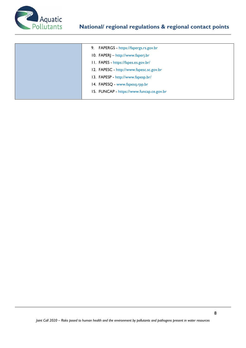

| 9. FAPERGS - https://fapergs.rs.gov.br   |
|------------------------------------------|
| 10. FAPERJ - http://www.faperj.br        |
| 11. FAPES - https://fapes.es.gov.br/     |
| 12. FAPESC - http://www.fapesc.sc.gov.br |
|                                          |

- 13. FAPESP http://www.fapesp.br/
- 14. FAPESQ www.fapesq.rpp.br
- 15. FUNCAP https://www.funcap.ce.gov.br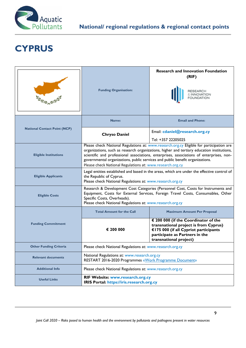

# **CYPRUS**

|                                     | <b>Funding Organisation:</b>                                                                                                                                                                                                                                                                                                                                                                                                                           | <b>Research and Innovation Foundation</b><br>(RIF)                                                                                                                                 |  |  |
|-------------------------------------|--------------------------------------------------------------------------------------------------------------------------------------------------------------------------------------------------------------------------------------------------------------------------------------------------------------------------------------------------------------------------------------------------------------------------------------------------------|------------------------------------------------------------------------------------------------------------------------------------------------------------------------------------|--|--|
|                                     | Name:                                                                                                                                                                                                                                                                                                                                                                                                                                                  | <b>Email and Phone:</b>                                                                                                                                                            |  |  |
| <b>National Contact Point (NCP)</b> | <b>Chryso Daniel</b>                                                                                                                                                                                                                                                                                                                                                                                                                                   | Email: cdaniel@research.org.cy                                                                                                                                                     |  |  |
| <b>Eligible Institutions</b>        | Tel: +357 22205025<br>Please check National Regulations at: www.research.org.cy Eligible for participation are<br>organizations, such as research organizations, higher and tertiary education institutions,<br>scientific and professional associations, enterprises, associations of enterprises, non-<br>governmental organizations, public services and public benefit organizations.<br>Please check National Regulations at: www.research.org.cy |                                                                                                                                                                                    |  |  |
| <b>Eligible Applicants</b>          | Legal entities established and based in the areas, which are under the effective control of<br>the Republic of Cyprus.<br>Please check National Regulations at: www.research.org.cy                                                                                                                                                                                                                                                                    |                                                                                                                                                                                    |  |  |
| <b>Eligible Costs</b>               | Research & Development Cost Categories (Personnel Cost, Costs for Instruments and<br>Equipment, Costs for External Services, Foreign Travel Costs, Consumables, Other<br>Specific Costs, Overheads).<br>Please check National Regulations at: www.research.org.cy                                                                                                                                                                                      |                                                                                                                                                                                    |  |  |
|                                     | <b>Total Amount for the Call</b>                                                                                                                                                                                                                                                                                                                                                                                                                       | <b>Maximum Amount Per Proposal</b>                                                                                                                                                 |  |  |
| <b>Funding Commitment</b>           | € 200 000                                                                                                                                                                                                                                                                                                                                                                                                                                              | € 200 000 (if the Coordinator of the<br>transnational project is from Cyprus)<br>€175 000 (if all Cypriot participants<br>participate as Partners in the<br>transnational project) |  |  |
| <b>Other Funding Criteria</b>       | Please check National Regulations at: www.research.org.cy                                                                                                                                                                                                                                                                                                                                                                                              |                                                                                                                                                                                    |  |  |
| <b>Relevant documents</b>           | National Regulations at: www.research.org.cy<br>RESTART 2016-2020 Programmes «Work Programme Document»                                                                                                                                                                                                                                                                                                                                                 |                                                                                                                                                                                    |  |  |
| <b>Additional Info</b>              | Please check National Regulations at: www.research.org.cy                                                                                                                                                                                                                                                                                                                                                                                              |                                                                                                                                                                                    |  |  |
| <b>Useful Links</b>                 | RIF Website: www.research.org.cy<br>IRIS Portal: https://iris.research.org.cy                                                                                                                                                                                                                                                                                                                                                                          |                                                                                                                                                                                    |  |  |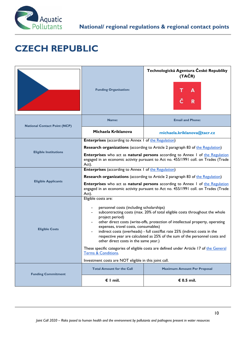

# **CZECH REPUBLIC**

|                                     | <b>Funding Organisation:</b>                                                                                                                                                                                                                                                                                                                                                                                                                                                                                                                                                                  | Technologická Agentura České Republiky<br>(TAČR) |  |  |
|-------------------------------------|-----------------------------------------------------------------------------------------------------------------------------------------------------------------------------------------------------------------------------------------------------------------------------------------------------------------------------------------------------------------------------------------------------------------------------------------------------------------------------------------------------------------------------------------------------------------------------------------------|--------------------------------------------------|--|--|
| <b>National Contact Point (NCP)</b> | Name:                                                                                                                                                                                                                                                                                                                                                                                                                                                                                                                                                                                         | <b>Email and Phone:</b>                          |  |  |
|                                     | Michaela Kriklanova                                                                                                                                                                                                                                                                                                                                                                                                                                                                                                                                                                           | michaela.kriklanova@tacr.cz                      |  |  |
|                                     | <b>Enterprises</b> (according to Annex 1 of the Regulation)                                                                                                                                                                                                                                                                                                                                                                                                                                                                                                                                   |                                                  |  |  |
|                                     | <b>Research organizations</b> (according to Article 2 paragraph 83 of the Regulation)                                                                                                                                                                                                                                                                                                                                                                                                                                                                                                         |                                                  |  |  |
| <b>Eligible Institutions</b>        | <b>Enterprises</b> who act as natural persons according to Annex 1 of the Regulation<br>engaged in an economic activity pursuant to Act no. 455/1991 coll. on Trades (Trade<br>Act).                                                                                                                                                                                                                                                                                                                                                                                                          |                                                  |  |  |
|                                     | <b>Enterprises</b> (according to Annex 1 of the Regulation)                                                                                                                                                                                                                                                                                                                                                                                                                                                                                                                                   |                                                  |  |  |
| <b>Eligible Applicants</b>          | <b>Research organizations</b> (according to Article 2 paragraph 83 of the Regulation)                                                                                                                                                                                                                                                                                                                                                                                                                                                                                                         |                                                  |  |  |
|                                     | <b>Enterprises</b> who act as natural persons according to Annex 1 of the Regulation<br>engaged in an economic activity pursuant to Act no. 455/1991 coll. on Trades (Trade<br>Act).                                                                                                                                                                                                                                                                                                                                                                                                          |                                                  |  |  |
| <b>Eligible Costs</b>               | Eligible costs are:<br>personnel costs (including scholarships)<br>subcontracting costs (max. 20% of total eligible costs throughout the whole<br>project period)<br>other direct costs (write-offs, protection of intellectual property, operating<br>expenses, travel costs, consumables)<br>indirect costs (overheads) - full cost/flat rate 25% (indirect costs in the<br>respective year are calculated as 25% of the sum of the personnel costs and<br>other direct costs in the same year.)<br>These specific categories of eligible costs are defined under Article 17 of the General |                                                  |  |  |
|                                     | <u>I erms &amp; Conditions</u> .<br>Investment costs are NOT eligible in this joint call.                                                                                                                                                                                                                                                                                                                                                                                                                                                                                                     |                                                  |  |  |
|                                     | <b>Total Amount for the Call</b>                                                                                                                                                                                                                                                                                                                                                                                                                                                                                                                                                              | <b>Maximum Amount Per Proposal</b>               |  |  |
| <b>Funding Commitment</b>           | $\epsilon$ I mil.                                                                                                                                                                                                                                                                                                                                                                                                                                                                                                                                                                             | € 0.5 mil.                                       |  |  |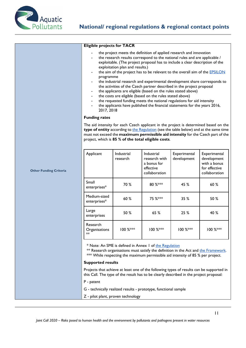

**Other Funding Criteria** 

| <b>Eligible projects for TACR</b> |  |  |
|-----------------------------------|--|--|
|                                   |  |  |

- the project meets the definition of applied research and innovation
- the research results correspond to the national rules and are applicable / exploitable. (The project proposal has to include a clear description of the exploitation plan and results.)
- the aim of the project has to be relevant to the overall aim of the **EPSILON** programme
- the industrial research and experimental development share corresponds to the activities of the Czech partner described in the project proposal
- the applicants are eligible (based on the rules stated above)
- the costs are eligible (based on the rules stated above)
- the requested funding meets the national regulations for aid intensity
- the applicants have published the financial statements for the years 2016, 2017, 2018

#### **Funding rates**

The aid intensity for each Czech applicant in the project is determined based on the **type of entity** according to the Regulation (see the table below) and at the same time must not exceed the **maximum permissible aid intensity** for the Czech part of the project, which is **85 % of the total eligible costs**.

| Applicant                       | Industrial<br>research | Industrial<br>research with<br>a bonus for<br>effective<br>collaboration | Experimental<br>development | Experimental<br>development<br>with a bonus<br>for effective<br>collaboration |
|---------------------------------|------------------------|--------------------------------------------------------------------------|-----------------------------|-------------------------------------------------------------------------------|
| Small<br>enterprises*           | 70 %                   | 80 %***                                                                  | 45 %                        | 60 %                                                                          |
| Medium-sized<br>enterprises*    | 60 %                   | 75 %***                                                                  | 35 %                        | 50 %                                                                          |
| Large<br>enterprises            | 50 %                   | 65%                                                                      | 25%                         | 40 %                                                                          |
| Research<br>Organisations<br>** | 100 %***               | 100 %***                                                                 | 100 %***                    | 100 %***                                                                      |

\* Note: An SME is defined in Annex 1 of the Regulation

\*\* Research organisations must satisfy the definition in the Act and the Framework. \*\*\* While respecting the maximum permissible aid intensity of 85 % per project.

#### **Supported results**

Projects that achieve at least one of the following types of results can be supported in this Call. The type of the result has to be clearly described in the project proposal:

P - patent

- G technically realized results prototype, functional sample
- Z pilot plant, proven technology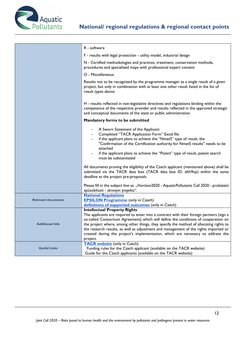

|                           | R - software                                                                                                                                                                                                                                                                                                                                                                                                                                                                                           |  |
|---------------------------|--------------------------------------------------------------------------------------------------------------------------------------------------------------------------------------------------------------------------------------------------------------------------------------------------------------------------------------------------------------------------------------------------------------------------------------------------------------------------------------------------------|--|
|                           | F - results with legal protection - utility model, industrial design                                                                                                                                                                                                                                                                                                                                                                                                                                   |  |
|                           | N - Certified methodologies and practices, treatment, conservation methods,<br>procedures and specialized maps with professional expert content                                                                                                                                                                                                                                                                                                                                                        |  |
|                           | O - Miscellaneous                                                                                                                                                                                                                                                                                                                                                                                                                                                                                      |  |
|                           | Results not to be recognized by the programme manager as a single result of a given<br>project, but only in combination with at least one other result listed in the list of<br>result types above:                                                                                                                                                                                                                                                                                                    |  |
|                           | H - results reflected in non-legislative directives and regulations binding within the<br>competence of the respective provider and results reflected in the approved strategic<br>and conceptual documents of the state or public administration.                                                                                                                                                                                                                                                     |  |
|                           | Mandatory forms to be submitted                                                                                                                                                                                                                                                                                                                                                                                                                                                                        |  |
|                           | A Sworn Statement of the Applicant<br>Completed "TACR Application Form" Excel file<br>if the applicant plans to achieve the "NmetS" type of result, the<br>"Confirmation of the Certification authority for NmetS results" needs to be<br>attached<br>if the applicant plans to achieve the "Patent" type of result, patent search<br>must be substantiated                                                                                                                                            |  |
|                           | All documents proving the eligibility of the Czech applicant (mentioned above) shall be<br>submitted via the TACR data box (TACR data box ID: afth9xp) within the same<br>deadline as the project pre-proposals.                                                                                                                                                                                                                                                                                       |  |
|                           | Please fill in the subject line as: "Horizon2020 - AquaticPollutants Call 2020 - prokázání<br>způsobilosti - akronym projektu".                                                                                                                                                                                                                                                                                                                                                                        |  |
| <b>Relevant documents</b> | <b>National Regulations</b><br><b>EPSILON Programme</b> (only in Czech)<br>definitions of supported outcomes (only in Czech)                                                                                                                                                                                                                                                                                                                                                                           |  |
| <b>Additional Info</b>    | <b>Intellectual Property Rights</b><br>The applicants are required to enter into a contract with their foreign partners (sign a<br>so-called Consortium Agreement) which will define the conditions of cooperation on<br>the project where, among other things, they specify the method of allocating rights to<br>the research results, as well as adjustment and management of the rights imported or<br>created during the project's implementation, which are necessary to address the<br>project. |  |
| <b>Useful Links</b>       | <b>TACR website (only in Czech)</b><br>Funding rules for the Czech applicant (available on the TACR website)<br>Guide for the Czech applicants (available on the TACR website)                                                                                                                                                                                                                                                                                                                         |  |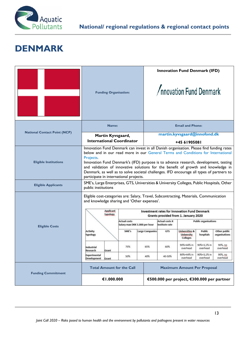

#### **DENMARK**

|                                     | <b>Funding Organisation:</b>                                                                                                                                                                                                                                         |                                        |                        | <b>Innovation Fund Denmark (IFD)</b><br>/nnovation Fund Denmark                                                                                                                                                                                                                                                                                                                                                                                       |                                                                   |                             |                               |
|-------------------------------------|----------------------------------------------------------------------------------------------------------------------------------------------------------------------------------------------------------------------------------------------------------------------|----------------------------------------|------------------------|-------------------------------------------------------------------------------------------------------------------------------------------------------------------------------------------------------------------------------------------------------------------------------------------------------------------------------------------------------------------------------------------------------------------------------------------------------|-------------------------------------------------------------------|-----------------------------|-------------------------------|
|                                     | Name:                                                                                                                                                                                                                                                                |                                        |                        | <b>Email and Phone:</b>                                                                                                                                                                                                                                                                                                                                                                                                                               |                                                                   |                             |                               |
| <b>National Contact Point (NCP)</b> | Martin Kyvsgaard,                                                                                                                                                                                                                                                    |                                        |                        |                                                                                                                                                                                                                                                                                                                                                                                                                                                       | martin.kyvsgaard@innofond.dk                                      |                             |                               |
|                                     | <b>International Coordinator</b>                                                                                                                                                                                                                                     |                                        |                        |                                                                                                                                                                                                                                                                                                                                                                                                                                                       | +45 61905081                                                      |                             |                               |
| <b>Eligible Institutions</b>        | Projects.<br>participate in international projects.                                                                                                                                                                                                                  |                                        |                        | Innovation Fund Denmark can invest in all Danish organisation. Please find funding rates<br>below and in our read more in our General Terms and Conditions for International<br>Innovation Fund Denmark's (IFD) purpose is to advance research, development, testing<br>and validation of innovative solutions for the benefit of growth and knowledge in<br>Denmark, as well as to solve societal challenges. IFD encourage all types of partners to |                                                                   |                             |                               |
| <b>Eligible Applicants</b>          | public institutions                                                                                                                                                                                                                                                  |                                        |                        | SME's, Large Enterprises, GTS, Universities & University Colleges, Public Hospitals, Other                                                                                                                                                                                                                                                                                                                                                            |                                                                   |                             |                               |
|                                     | Eligible cost-categories are: Salary, Travel, Subcontracting, Materials, Communication<br>and knowledge sharing and 'Other expenses'.<br><b>Applicant</b><br><b>Investment rates for Innovation Fund Denmark</b><br>typology<br>Grants provided from 1. January 2020 |                                        |                        |                                                                                                                                                                                                                                                                                                                                                                                                                                                       |                                                                   |                             |                               |
|                                     |                                                                                                                                                                                                                                                                      | <b>Actual costs</b>                    |                        | <b>Actual costs X</b>                                                                                                                                                                                                                                                                                                                                                                                                                                 |                                                                   | <b>Public organisations</b> |                               |
| <b>Eligible Costs</b>               | Activity<br>typology                                                                                                                                                                                                                                                 | Salary max DKK 1.000 per hour<br>SME's | <b>Large Companies</b> | institute rate<br>GTS                                                                                                                                                                                                                                                                                                                                                                                                                                 | <b>Universities &amp;</b><br><b>University</b><br><b>Colleges</b> | Public<br>hospitals         | Other public<br>organisations |
|                                     | Industrial<br>Research<br>Grant                                                                                                                                                                                                                                      | 75%                                    | 65%                    | 60%                                                                                                                                                                                                                                                                                                                                                                                                                                                   | 90%+44% in<br>overhead                                            | 90%+3,1% in<br>overhead     | 90%, no<br>overhead           |
|                                     | Experimental<br>Development<br>Grant                                                                                                                                                                                                                                 | 50%                                    | 40%                    | 40-50%                                                                                                                                                                                                                                                                                                                                                                                                                                                | 90%+44% in<br>overhead                                            | 90%+3,1% in<br>overhead     | 90%, no<br>overhead           |
| <b>Funding Commitment</b>           | <b>Total Amount for the Call</b>                                                                                                                                                                                                                                     |                                        |                        | <b>Maximum Amount Per Proposal</b>                                                                                                                                                                                                                                                                                                                                                                                                                    |                                                                   |                             |                               |
|                                     | €1.000.000                                                                                                                                                                                                                                                           |                                        |                        | €500.000 per project, €300.000 per partner                                                                                                                                                                                                                                                                                                                                                                                                            |                                                                   |                             |                               |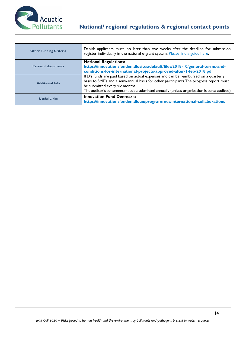

| <b>Other Funding Criteria</b> | Danish applicants must, no later than two weeks after the deadline for submission,<br>register individually in the national e-grant system. Please find a guide here. |
|-------------------------------|-----------------------------------------------------------------------------------------------------------------------------------------------------------------------|
|                               | <b>National Regulations:</b>                                                                                                                                          |
| <b>Relevant documents</b>     | https://innovationsfonden.dk/sites/default/files/2018-10/general-terms-and-                                                                                           |
|                               | conditions-for-international-projects-approved-after-1-feb-2018.pdf                                                                                                   |
|                               | IFD's funds are paid based on actual expenses and can be reimbursed on a quarterly                                                                                    |
| <b>Additional Info</b>        | basis to SME's and a semi-annual basis for other participants. The progress report must                                                                               |
|                               | be submitted every six months.                                                                                                                                        |
|                               | The auditor's statement must be submitted annually (unless organization is state-audited).                                                                            |
| <b>Useful Links</b>           | <b>Innovation Fund Denmark:</b><br>https://innovationsfonden.dk/en/programmes/international-collaborations                                                            |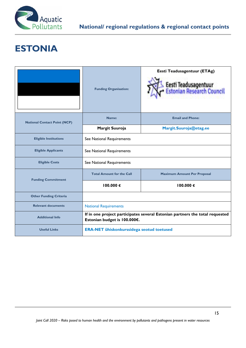

# **ESTONIA**

|                                     | <b>Funding Organisation:</b>                                                                                 | Eesti Teadusagentuur (ETAg)<br>Eesti Teadusagentuur<br>Estonian Research Council |  |
|-------------------------------------|--------------------------------------------------------------------------------------------------------------|----------------------------------------------------------------------------------|--|
| <b>National Contact Point (NCP)</b> | Name:                                                                                                        | <b>Email and Phone:</b>                                                          |  |
|                                     | Margit Suuroja                                                                                               | Margit.Suuroja@etag.ee                                                           |  |
| <b>Eligible Institutions</b>        | See National Requirements                                                                                    |                                                                                  |  |
| <b>Eligible Applicants</b>          | See National Requirements                                                                                    |                                                                                  |  |
| <b>Eligible Costs</b>               | See National Requirements                                                                                    |                                                                                  |  |
| <b>Funding Commitment</b>           | <b>Total Amount for the Call</b>                                                                             | <b>Maximum Amount Per Proposal</b>                                               |  |
|                                     | 100.000€                                                                                                     | 100.000€                                                                         |  |
| <b>Other Funding Criteria</b>       |                                                                                                              |                                                                                  |  |
| <b>Relevant documents</b>           | <b>National Requirements</b>                                                                                 |                                                                                  |  |
| <b>Additional Info</b>              | If in one project participates several Estonian partners the total requested<br>Estonian budget is 100.000€. |                                                                                  |  |
| <b>Useful Links</b>                 | <b>ERA-NET ühiskonkurssidega seotud toetused</b>                                                             |                                                                                  |  |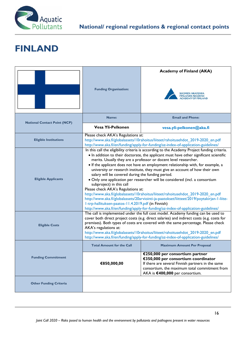

# **FINLAND**

|                                     | <b>Funding Organisation:</b>                                                                                                                                                                                                                                                                                                                                                                                                                                                                                                                                                                                                                                                                                                                                                                                                                                                                                                                                        | <b>Academy of Finland (AKA)</b><br><b>FINLANDS AKADEMI</b>                                                                                                                                                      |  |
|-------------------------------------|---------------------------------------------------------------------------------------------------------------------------------------------------------------------------------------------------------------------------------------------------------------------------------------------------------------------------------------------------------------------------------------------------------------------------------------------------------------------------------------------------------------------------------------------------------------------------------------------------------------------------------------------------------------------------------------------------------------------------------------------------------------------------------------------------------------------------------------------------------------------------------------------------------------------------------------------------------------------|-----------------------------------------------------------------------------------------------------------------------------------------------------------------------------------------------------------------|--|
| <b>National Contact Point (NCP)</b> | Name:                                                                                                                                                                                                                                                                                                                                                                                                                                                                                                                                                                                                                                                                                                                                                                                                                                                                                                                                                               | <b>Email and Phone:</b>                                                                                                                                                                                         |  |
|                                     | Vesa Yli-Pelkonen                                                                                                                                                                                                                                                                                                                                                                                                                                                                                                                                                                                                                                                                                                                                                                                                                                                                                                                                                   | vesa.yli-pelkonen@aka.fi                                                                                                                                                                                        |  |
| <b>Eligible Institutions</b>        | Please check AKA's Regulations at:                                                                                                                                                                                                                                                                                                                                                                                                                                                                                                                                                                                                                                                                                                                                                                                                                                                                                                                                  | http://www.aka.fi/globalassets/10rahoitus/liiteet/rahoitusehdot_2019-2020_en.pdf<br>http://www.aka.fi/en/funding/apply-for-funding/az-index-of-application-guidelines/                                          |  |
| <b>Eligible Applicants</b>          | In this call the eligibility criteria is according to the Academy Project funding criteria.<br>• In addition to their doctorate, the applicant must have other significant scientific<br>merits. Usually they are a professor or docent level researcher.<br>• If the applicant does not have an employment relationship with, for example, a<br>university or research institute, they must give an account of how their own<br>salary will be covered during the funding period.<br>• Only one application per researcher will be considered (incl. a consortium<br>subproject) in this call<br>Please check AKA's Regulations at:<br>http://www.aka.fi/globalassets/10rahoitus/liiteet/rahoitusehdot_2019-2020_en.pdf<br>http://www.aka.fi/globalassets/20arviointi-ja-paatokset/liitteet/2019/poytakirjan-1-liite-<br>I-trp-hallituksen-paatos-11.4.2019.pdf (in Finnish)<br>http://www.aka.fi/en/funding/apply-for-funding/az-index-of-application-guidelines/ |                                                                                                                                                                                                                 |  |
| <b>Eligible Costs</b>               | The call is implemented under the full cost model. Academy funding can be used to<br>cover both direct project costs (e.g. direct salaries) and indirect costs (e.g. costs for<br>premises). Both types of costs are covered with the same percentage. Please check<br>AKA's regulations at:<br>http://www.aka.fi/globalassets/10rahoitus/liiteet/rahoitusehdot_2019-2020_en.pdf<br>http://www.aka.fi/en/funding/apply-for-funding/az-index-of-application-guidelines/                                                                                                                                                                                                                                                                                                                                                                                                                                                                                              |                                                                                                                                                                                                                 |  |
|                                     | <b>Total Amount for the Call</b>                                                                                                                                                                                                                                                                                                                                                                                                                                                                                                                                                                                                                                                                                                                                                                                                                                                                                                                                    | <b>Maximum Amount Per Proposal</b>                                                                                                                                                                              |  |
| <b>Funding Commitment</b>           | €850,000,00                                                                                                                                                                                                                                                                                                                                                                                                                                                                                                                                                                                                                                                                                                                                                                                                                                                                                                                                                         | €250,000 per consortium partner<br>€350,000 per consortium coordinator<br>If there are several Finnish partners in the same<br>consortium, the maximum total commitment from<br>AKA is €400,000 per consortium. |  |
| <b>Other Funding Criteria</b>       |                                                                                                                                                                                                                                                                                                                                                                                                                                                                                                                                                                                                                                                                                                                                                                                                                                                                                                                                                                     |                                                                                                                                                                                                                 |  |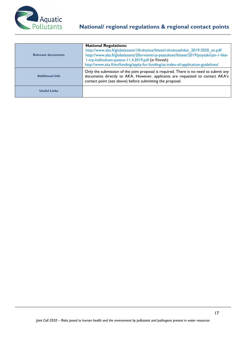

| <b>Relevant documents</b> | <b>National Regulations:</b><br>http://www.aka.fi/globalassets/10rahoitus/liiteet/rahoitusehdot 2019-2020 en.pdf<br>http://www.aka.fi/globalassets/20arviointi-ja-paatokset/liitteet/2019/poytakirjan-1-liite-<br>I-trp-hallituksen-paatos-11.4.2019.pdf (in Finnish)<br>http://www.aka.fi/en/funding/apply-for-funding/az-index-of-application-guidelines/ |
|---------------------------|-------------------------------------------------------------------------------------------------------------------------------------------------------------------------------------------------------------------------------------------------------------------------------------------------------------------------------------------------------------|
| <b>Additional Info</b>    | Only the submission of the joint proposal is required. There is no need to submit any<br>documents directly to AKA. However, applicants are requested to contact AKA's<br>contact point (see above) before submitting the proposal.                                                                                                                         |
| <b>Useful Links</b>       |                                                                                                                                                                                                                                                                                                                                                             |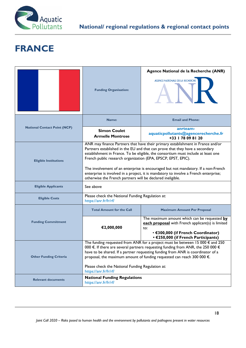

# **FRANCE**

|                                     |                                                                                                                                                                                                                                                                                                                                                                                                                                                                                                                                                                  | Agence National de la Recherche (ANR)                                                                                                                                                 |  |
|-------------------------------------|------------------------------------------------------------------------------------------------------------------------------------------------------------------------------------------------------------------------------------------------------------------------------------------------------------------------------------------------------------------------------------------------------------------------------------------------------------------------------------------------------------------------------------------------------------------|---------------------------------------------------------------------------------------------------------------------------------------------------------------------------------------|--|
|                                     | <b>Funding Organisation:</b>                                                                                                                                                                                                                                                                                                                                                                                                                                                                                                                                     | AGENCE NATIONALE DE LA RECHERCHE                                                                                                                                                      |  |
|                                     | Name:                                                                                                                                                                                                                                                                                                                                                                                                                                                                                                                                                            | <b>Email and Phone:</b>                                                                                                                                                               |  |
| <b>National Contact Point (NCP)</b> | <b>Simon Coulet</b><br><b>Armelle Montrose</b>                                                                                                                                                                                                                                                                                                                                                                                                                                                                                                                   | anrteam-<br>aquaticpollutants@agencerecherche.fr<br>+33   78 09 8   20                                                                                                                |  |
| <b>Eligible Institutions</b>        | ANR may finance Partners that have their primary establishment in France and/or<br>Partners established in the EU and that can prove that they have a secondary<br>establishment in France. To be eligible, the consortium must include at least one<br>French public research organization (EPA, EPSCP, EPST, EPIC).<br>The involvement of an enterprise is encouraged but not mandatory. If a non-French<br>enterprise is involved in a project, it is mandatory to involve a French enterprise;<br>otherwise the French partners will be declared ineligible. |                                                                                                                                                                                       |  |
| <b>Eligible Applicants</b>          | See above                                                                                                                                                                                                                                                                                                                                                                                                                                                                                                                                                        |                                                                                                                                                                                       |  |
| <b>Eligible Costs</b>               | Please check the National Funding Regulation at:<br>https://anr.fr/fr/rf/                                                                                                                                                                                                                                                                                                                                                                                                                                                                                        |                                                                                                                                                                                       |  |
|                                     | <b>Total Amount for the Call</b>                                                                                                                                                                                                                                                                                                                                                                                                                                                                                                                                 | <b>Maximum Amount Per Proposal</b>                                                                                                                                                    |  |
| <b>Funding Commitment</b>           | €2,000,000                                                                                                                                                                                                                                                                                                                                                                                                                                                                                                                                                       | The maximum amount which can be requested by<br>each proposal with French applicant(s) is limited<br>to:<br>• €300,000 (if French Coordinator)<br>• €250,000 (if French Participants) |  |
| <b>Other Funding Criteria</b>       | The funding requested from ANR for a project must be between 15 000 $\epsilon$ and 250<br>000 €. If there are several partners requesting funding from ANR, the 250 000 €<br>have to be shared. If a partner requesting funding from ANR is coordinator of a<br>proposal, the maximum amount of funding requested can reach 300 000 $\epsilon$ .<br>Please check the National Funding Regulation at:<br>https://anr.fr/fr/rf/                                                                                                                                    |                                                                                                                                                                                       |  |
| <b>Relevant documents</b>           | <b>National Funding Regulations</b><br>https://anr.fr/fr/rf/                                                                                                                                                                                                                                                                                                                                                                                                                                                                                                     |                                                                                                                                                                                       |  |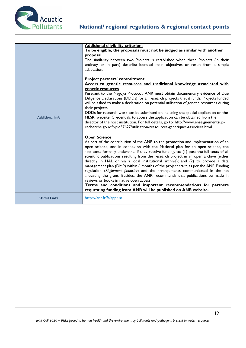

| <b>Additional Info</b> | <b>Additional eligibility criterion:</b><br>To be eligible, the proposals must not be judged as similar with another<br>proposal.<br>The similarity between two Projects is established when these Projects (in their<br>entirety or in part) describe identical main objectives or result from a simple<br>adaptation.                                                                                                                                                                                                                                                                                                                                                                                                                                                                                                                                                                                       |
|------------------------|---------------------------------------------------------------------------------------------------------------------------------------------------------------------------------------------------------------------------------------------------------------------------------------------------------------------------------------------------------------------------------------------------------------------------------------------------------------------------------------------------------------------------------------------------------------------------------------------------------------------------------------------------------------------------------------------------------------------------------------------------------------------------------------------------------------------------------------------------------------------------------------------------------------|
|                        | Project partners' commitment:<br>Access to genetic resources and traditional knowledge associated with<br>genetic resources<br>Pursuant to the Nagoya Protocol, ANR must obtain documentary evidence of Due<br>Diligence Declarations (DDDs) for all research projects that it funds. Projects funded<br>will be asked to make a declaration on potential utilisation of genetic resources during<br>their projects.<br>DDDs for research work can be submitted online using the special application on the<br>MESRI website. Credentials to access the application can be obtained from the<br>director of the host institution. For full details, go to: http://www.enseignementsup-<br>recherche.gouv.fr/pid37627/utilisation-ressources-genetiques-associees.html                                                                                                                                         |
|                        | <b>Open Science</b><br>As part of the contribution of the ANR to the promotion and implementation of an<br>open science, and in connexion with the National plan for an open science, the<br>applicants formally undertake, if they receive funding, to: (1) post the full texts of all<br>scientific publications resulting from the research project in an open archive (either<br>directly in HAL or via a local institutional archive); and (2) to provide a data<br>management plan (DMP) within 6 months of the project start, as per the ANR Funding<br>regulation (Règlement financier) and the arrangements communicated in the act<br>allocating the grant. Besides, the ANR recommends that publications be made in<br>reviews or books in native open access.<br>Terms and conditions and important recommendations for partners<br>requesting funding from ANR will be published on ANR website. |
| <b>Useful Links</b>    | https://anr.fr/fr/appels/                                                                                                                                                                                                                                                                                                                                                                                                                                                                                                                                                                                                                                                                                                                                                                                                                                                                                     |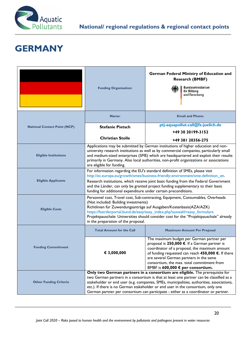

## **GERMANY**

|                                     | <b>Funding Organisation:</b>                                                                                                                                                                                                                                                                                                                                                                                                                   | <b>German Federal Ministry of Education and</b><br><b>Research (BMBF)</b><br>Bundesministerium<br>für Bildung<br>und Forschung |  |
|-------------------------------------|------------------------------------------------------------------------------------------------------------------------------------------------------------------------------------------------------------------------------------------------------------------------------------------------------------------------------------------------------------------------------------------------------------------------------------------------|--------------------------------------------------------------------------------------------------------------------------------|--|
|                                     | Name:                                                                                                                                                                                                                                                                                                                                                                                                                                          | <b>Email and Phone:</b>                                                                                                        |  |
| <b>National Contact Point (NCP)</b> | <b>Stefanie Pietsch</b>                                                                                                                                                                                                                                                                                                                                                                                                                        | ptj-aquapollut.call@fz-juelich.de<br>+49 30 20199-3152                                                                         |  |
|                                     | <b>Christian Stolle</b>                                                                                                                                                                                                                                                                                                                                                                                                                        | +49 381 20356-275                                                                                                              |  |
| <b>Eligible Institutions</b>        | Applications may be submitted by German institutions of higher education and non-<br>university research institutions as well as by commercial companies, particularly small<br>and medium-sized enterprises (SME) which are headquartered and exploit their results<br>primarily in Germany. Also local authorities, non-profit organizations or associations<br>are eligible for funding.                                                    |                                                                                                                                |  |
| <b>Eligible Applicants</b>          | For information regarding the EU's standard definition of SMEs, please visit<br>http://ec.europa.eu/growth/smes/business-friendly-environment/sme-definition_en.<br>Research institutions, which receive joint basic funding from the Federal Government<br>and the Länder, can only be granted project funding supplementary to their basic<br>funding for additional expenditure under certain preconditions.                                |                                                                                                                                |  |
| <b>Eligible Costs</b>               | Personnel cost, Travel cost, Sub-contracting, Equipment, Consumables, Overheads<br>(Not included: Building investments)<br>Richtlinien für Zuwendungsanträge auf Ausgaben/Kostenbasis(AZA/AZK)<br>https://foerderportal.bund.de/easy/easy_index.php?auswahl=easy_formulare<br>Projektpauschale: Universities should consider cost for the "Projektpauschale" already<br>in the preparation of the proposal.                                    |                                                                                                                                |  |
|                                     | <b>Total Amount for the Call</b>                                                                                                                                                                                                                                                                                                                                                                                                               | <b>Maximum Amount Per Proposal</b>                                                                                             |  |
| <b>Funding Commitment</b>           | The maximum budget per German partner per<br>proposal is 250,000 €. If a German partner is<br>coordinator of a proposal, the maximum amount<br>€ 3,000,000<br>of funding requested can reach $450,000 \in$ . If there<br>are several German partners in the same<br>consortium, the max. total commitment from<br>BMBF is 600,000 € per consortium.                                                                                            |                                                                                                                                |  |
| <b>Other Funding Criteria</b>       | Only two German partners in a consortium are eligible. The prerequisite for<br>two German partners in a consortium is that at least one partner can be classified as a<br>stakeholder or end user (e.g. companies, SMEs, municipalities, authorities, associations,<br>etc.). If there is no German stakeholder or end user in the consortium, only one<br>German partner per consortium can participate - either as a coordinator or partner. |                                                                                                                                |  |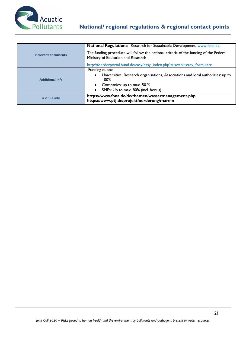

|                           | <b>National Regulations:</b> Research for Sustainable Development, www.fona.de                                                                                                             |  |
|---------------------------|--------------------------------------------------------------------------------------------------------------------------------------------------------------------------------------------|--|
| <b>Relevant documents</b> | The funding procedure will follow the national criteria of the funding of the Federal<br>Ministry of Education and Research                                                                |  |
|                           | http://foerderportal.bund.de/easy/easy_index.php?auswahl=easy_formulare                                                                                                                    |  |
| <b>Additional Info</b>    | Funding quota:<br>Universities, Research organisations, Associations and local authorities: up to<br>$\bullet$<br>100%<br>Companies: up to max. 50 %<br>SMEs: Up to max. 80% (incl. bonus) |  |
| <b>Useful Links</b>       | https://www.fona.de/de/themen/wassermanagement.php<br>https://www.ptj.de/projektfoerderung/mare-n                                                                                          |  |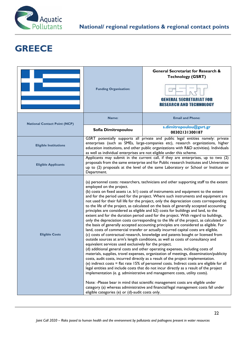

# **GREECE**

|                                     | <b>Funding Organisation:</b>                                                                                                                                                                                                                                                                                                                                                                                                                                                                                                                                                                                                                                                                                                                                                                                                                                                                                                                                                                                                                                                                                                                                                                                                                                                                                                                                                                                                                                                                                                                                                                                                                                                                                                                                                                                                                                                                                                                                    | <b>General Secretariat for Research &amp;</b><br><b>Technology (GSRT)</b><br><b>GENERAL SECRETARIAT FOR</b><br><b>RESEARCH AND TECHNOLOGY</b>                                                                                                                  |  |
|-------------------------------------|-----------------------------------------------------------------------------------------------------------------------------------------------------------------------------------------------------------------------------------------------------------------------------------------------------------------------------------------------------------------------------------------------------------------------------------------------------------------------------------------------------------------------------------------------------------------------------------------------------------------------------------------------------------------------------------------------------------------------------------------------------------------------------------------------------------------------------------------------------------------------------------------------------------------------------------------------------------------------------------------------------------------------------------------------------------------------------------------------------------------------------------------------------------------------------------------------------------------------------------------------------------------------------------------------------------------------------------------------------------------------------------------------------------------------------------------------------------------------------------------------------------------------------------------------------------------------------------------------------------------------------------------------------------------------------------------------------------------------------------------------------------------------------------------------------------------------------------------------------------------------------------------------------------------------------------------------------------------|----------------------------------------------------------------------------------------------------------------------------------------------------------------------------------------------------------------------------------------------------------------|--|
| <b>National Contact Point (NCP)</b> | Name:                                                                                                                                                                                                                                                                                                                                                                                                                                                                                                                                                                                                                                                                                                                                                                                                                                                                                                                                                                                                                                                                                                                                                                                                                                                                                                                                                                                                                                                                                                                                                                                                                                                                                                                                                                                                                                                                                                                                                           | <b>Email and Phone:</b>                                                                                                                                                                                                                                        |  |
|                                     | Sofia Dimitropoulou                                                                                                                                                                                                                                                                                                                                                                                                                                                                                                                                                                                                                                                                                                                                                                                                                                                                                                                                                                                                                                                                                                                                                                                                                                                                                                                                                                                                                                                                                                                                                                                                                                                                                                                                                                                                                                                                                                                                             | s.dimitropoulou@gsrt.gr<br>00302131300187                                                                                                                                                                                                                      |  |
| <b>Eligible Institutions</b>        | as well as individual enterprises are not eligible under this scheme.                                                                                                                                                                                                                                                                                                                                                                                                                                                                                                                                                                                                                                                                                                                                                                                                                                                                                                                                                                                                                                                                                                                                                                                                                                                                                                                                                                                                                                                                                                                                                                                                                                                                                                                                                                                                                                                                                           | GSRT potentially supports all private and public legal entities namely: private<br>enterprises (such as SMEs, large-companies etc), research organizations, higher<br>education institutions, and other public organizations with R&D activities). Individuals |  |
| <b>Eligible Applicants</b>          | Applicants may submit in the current call, if they are enterprises, up to two (2)<br>proposals from the same enterprise and for Public research Institutes and Universities<br>up to (2) proposals at the level of the same Laboratory or School or Institute or                                                                                                                                                                                                                                                                                                                                                                                                                                                                                                                                                                                                                                                                                                                                                                                                                                                                                                                                                                                                                                                                                                                                                                                                                                                                                                                                                                                                                                                                                                                                                                                                                                                                                                |                                                                                                                                                                                                                                                                |  |
| <b>Eligible Costs</b>               | Department.<br>(a) personnel costs: researchers, technicians and other supporting staff to the extent<br>employed on the project.<br>(b) costs on fixed assets i.e. b1) costs of instruments and equipment to the extent<br>and for the period used for the project. Where such instruments and equipment are<br>not used for their full life for the project, only the depreciation costs corresponding<br>to the life of the project, as calculated on the basis of generally accepted accounting<br>principles are considered as eligible and b2) costs for buildings and land, to the<br>extent and for the duration period used for the project. With regard to buildings,<br>only the depreciation costs corresponding to the life of the project, as calculated on<br>the basis of generally accepted accounting principles are considered as eligible. For<br>land, costs of commercial transfer or actually incurred capital costs are eligible.<br>(c) costs of contractual research, knowledge and patents bought or licensed from<br>outside sources at arm's length conditions, as well as costs of consultancy and<br>equivalent services used exclusively for the project.<br>(d) additional general costs and other operating expenses, including costs of<br>materials, supplies, travel expenses, organization of meetings, dissemination/publicity<br>costs, audit costs, incurred directly as a result of the project implementation.<br>(e) indirect costs = flat rate $15\%$ of personnel costs. Indirect costs are eligible for all<br>legal entities and include costs that do not incur directly as a result of the project<br>implementation (e. g. administrative and management costs, utility costs).<br>Note: -Please bear in mind that scientific management costs are eligible under<br>category (a) whereas administrative and financial/legal management costs fall under<br>eligible categories (e) or (d)-audit costs only. |                                                                                                                                                                                                                                                                |  |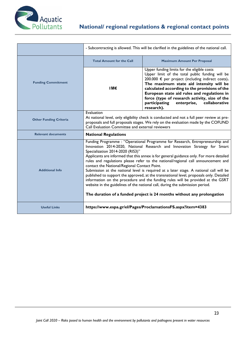

|                               | - Subcontracting is allowed. This will be clarified in the guidelines of the national call.                                                                                                                                                                                                                                                                                                                                                                                                                                                                                                                                                                                                                                                                                                                                                                       |                                                                                                                                                                                                                                                                                                                                                                                                                |  |
|-------------------------------|-------------------------------------------------------------------------------------------------------------------------------------------------------------------------------------------------------------------------------------------------------------------------------------------------------------------------------------------------------------------------------------------------------------------------------------------------------------------------------------------------------------------------------------------------------------------------------------------------------------------------------------------------------------------------------------------------------------------------------------------------------------------------------------------------------------------------------------------------------------------|----------------------------------------------------------------------------------------------------------------------------------------------------------------------------------------------------------------------------------------------------------------------------------------------------------------------------------------------------------------------------------------------------------------|--|
|                               | <b>Total Amount for the Call</b>                                                                                                                                                                                                                                                                                                                                                                                                                                                                                                                                                                                                                                                                                                                                                                                                                                  | <b>Maximum Amount Per Proposal</b>                                                                                                                                                                                                                                                                                                                                                                             |  |
| <b>Funding Commitment</b>     | тм€                                                                                                                                                                                                                                                                                                                                                                                                                                                                                                                                                                                                                                                                                                                                                                                                                                                               | Upper funding limits for the eligible costs<br>Upper limit of the total public funding will be<br>200.000 € per project (including indirect costs).<br>The maximum state aid intensity will be<br>calculated according to the provisions of the<br>European state aid rules and regulations in<br>force (type of research activity, size of the<br>participating<br>enterprise,<br>collaborative<br>research). |  |
| <b>Other Funding Criteria</b> | Evaluation<br>At national level, only eligibility check is conducted and not a full peer review at pre-<br>proposals and full proposals stages. We rely on the evaluation made by the COFUND<br>Call Evaluation Committee and external reviewers                                                                                                                                                                                                                                                                                                                                                                                                                                                                                                                                                                                                                  |                                                                                                                                                                                                                                                                                                                                                                                                                |  |
| <b>Relevant documents</b>     | <b>National Regulations</b>                                                                                                                                                                                                                                                                                                                                                                                                                                                                                                                                                                                                                                                                                                                                                                                                                                       |                                                                                                                                                                                                                                                                                                                                                                                                                |  |
| <b>Additional Info</b>        | Funding Programme : "Operational Programme for Research, Entrepreneurship and<br>Innovation 2014-2020, National Research and Innovation Strategy for Smart<br>Specialization 2014-2020 (RIS3)"<br>Applicants are informed that this annex is for general guidance only. For more detailed<br>rules and regulations please refer to the national/regional call announcement and<br>contact the National/Regional Contact Point.<br>Submission at the national level is required at a later stage. A national call will be<br>published to support the approved, at the transnational level, proposals only. Detailed<br>information on the procedure and the funding rules will be provided at the GSRT<br>website in the guidelines of the national call, during the submission period.<br>The duration of a funded project is 24 months without any prolongation |                                                                                                                                                                                                                                                                                                                                                                                                                |  |
| <b>Useful Links</b>           |                                                                                                                                                                                                                                                                                                                                                                                                                                                                                                                                                                                                                                                                                                                                                                                                                                                                   | https://www.espa.gr/el/Pages/ProclamationsFS.aspx?item=4383                                                                                                                                                                                                                                                                                                                                                    |  |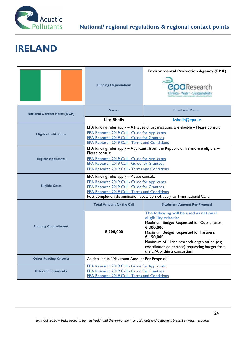

#### **IRELAND**

|                                     | <b>Funding Organisation:</b>                                                                                                                                                                                                                                                               | <b>Environmental Protection Agency (EPA)</b><br><b>COO</b> Research<br>Climate - Water - Sustainability                                                                                                                                                                                                             |  |
|-------------------------------------|--------------------------------------------------------------------------------------------------------------------------------------------------------------------------------------------------------------------------------------------------------------------------------------------|---------------------------------------------------------------------------------------------------------------------------------------------------------------------------------------------------------------------------------------------------------------------------------------------------------------------|--|
| <b>National Contact Point (NCP)</b> | Name:                                                                                                                                                                                                                                                                                      | <b>Email and Phone:</b>                                                                                                                                                                                                                                                                                             |  |
|                                     | <b>Lisa Sheils</b>                                                                                                                                                                                                                                                                         | I.sheils@epa.ie                                                                                                                                                                                                                                                                                                     |  |
| <b>Eligible Institutions</b>        | EPA Research 2019 Call - Guide for Applicants<br><b>EPA Research 2019 Call - Guide for Grantees</b><br><b>EPA Research 2019 Call - Terms and Conditions</b>                                                                                                                                | EPA funding rules apply - All types of organisations are eligible - Please consult:                                                                                                                                                                                                                                 |  |
| <b>Eligible Applicants</b>          | EPA funding rules apply - Applicants from the Republic of Ireland are eligible. -<br>Please consult:<br><b>EPA Research 2019 Call - Guide for Applicants</b><br>EPA Research 2019 Call - Guide for Grantees<br><b>EPA Research 2019 Call - Terms and Conditions</b>                        |                                                                                                                                                                                                                                                                                                                     |  |
| <b>Eligible Costs</b>               | EPA funding rules apply - Please consult:<br><b>EPA Research 2019 Call - Guide for Applicants</b><br><b>EPA Research 2019 Call - Guide for Grantees</b><br><b>EPA Research 2019 Call - Terms and Conditions</b><br>Post-completion dissemination costs do not apply to Transnational Calls |                                                                                                                                                                                                                                                                                                                     |  |
|                                     | <b>Total Amount for the Call</b>                                                                                                                                                                                                                                                           | <b>Maximum Amount Per Proposal</b>                                                                                                                                                                                                                                                                                  |  |
| <b>Funding Commitment</b>           | € 500,000                                                                                                                                                                                                                                                                                  | The following will be used as national<br>eligibility criteria:<br>Maximum Budget Requested for Coordinator:<br>€ 300,000<br>Maximum Budget Requested for Partners:<br>€ 150,000<br>Maximum of I Irish research organisation (e.g.<br>coordinator or partner) requesting budget from<br>the EPA within a consortium |  |
| <b>Other Funding Criteria</b>       | As detailed in "Maximum Amount Per Proposal"                                                                                                                                                                                                                                               |                                                                                                                                                                                                                                                                                                                     |  |
| <b>Relevant documents</b>           | EPA Research 2019 Call - Guide for Applicants<br>EPA Research 2019 Call - Guide for Grantees<br><b>EPA Research 2019 Call - Terms and Conditions</b>                                                                                                                                       |                                                                                                                                                                                                                                                                                                                     |  |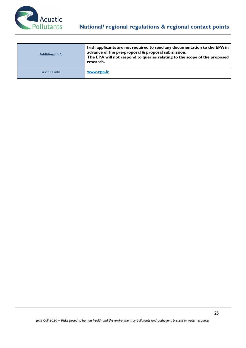

| <b>Additional Info</b> | Irish applicants are not required to send any documentation to the EPA in<br>advance of the pre-proposal & proposal submission.<br>The EPA will not respond to queries relating to the scope of the proposed<br>research. |
|------------------------|---------------------------------------------------------------------------------------------------------------------------------------------------------------------------------------------------------------------------|
| <b>Useful Links</b>    | www.epa.ie                                                                                                                                                                                                                |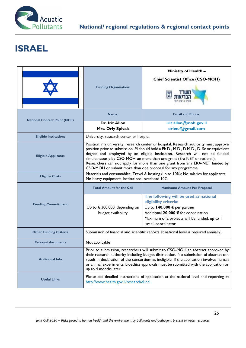

# **ISRAEL**

|                                     |                                                                                                                                                                                                                                                                                                                                                                                                                                                                                            | Ministry of Health -                                                                                                                                                                                           |  |
|-------------------------------------|--------------------------------------------------------------------------------------------------------------------------------------------------------------------------------------------------------------------------------------------------------------------------------------------------------------------------------------------------------------------------------------------------------------------------------------------------------------------------------------------|----------------------------------------------------------------------------------------------------------------------------------------------------------------------------------------------------------------|--|
|                                     |                                                                                                                                                                                                                                                                                                                                                                                                                                                                                            | <b>Chief Scientist Office (CSO-MOH)</b>                                                                                                                                                                        |  |
|                                     | <b>Funding Organisation:</b>                                                                                                                                                                                                                                                                                                                                                                                                                                                               |                                                                                                                                                                                                                |  |
| <b>National Contact Point (NCP)</b> | Name:                                                                                                                                                                                                                                                                                                                                                                                                                                                                                      | <b>Email and Phone:</b>                                                                                                                                                                                        |  |
|                                     | <b>Dr. Irit Allon</b><br>Mrs. Orly Spivak                                                                                                                                                                                                                                                                                                                                                                                                                                                  | irit.allon@moh.gov.il<br>orlee.f@gmail.com                                                                                                                                                                     |  |
| <b>Eligible Institutions</b>        | University, research center or hospital                                                                                                                                                                                                                                                                                                                                                                                                                                                    |                                                                                                                                                                                                                |  |
| <b>Eligible Applicants</b>          | Position in a university, research center or hospital. Research authority must approve<br>position prior to submission. PI should hold a Ph.D., M.D., D.M.D., D. Sc or equivalent<br>degree and employed by an eligible institution. Research will not be funded<br>simultaneously by CSO-MOH on more than one grant (Era-NET or national).<br>Researchers can not apply for more than one grant from any ERA-NET funded by<br>CSO-MOH or submit more than one proposal for any programme. |                                                                                                                                                                                                                |  |
| <b>Eligible Costs</b>               | Materials and consumables; Travel & hosting (up to 10%); No salaries for applicants;<br>No heavy equipment, Institutional overhead 10%.                                                                                                                                                                                                                                                                                                                                                    |                                                                                                                                                                                                                |  |
|                                     | <b>Total Amount for the Call</b>                                                                                                                                                                                                                                                                                                                                                                                                                                                           | <b>Maximum Amount Per Proposal</b>                                                                                                                                                                             |  |
| <b>Funding Commitment</b>           | Up to $\epsilon$ 300,000, depending on<br>budget availability                                                                                                                                                                                                                                                                                                                                                                                                                              | The following will be used as national<br>eligibility criteria:<br>Up to 140,000 € per partner<br>Additional 20,000 € for coordination<br>Maximum of 2 projects will be funded, up to 1<br>Israeli coordinator |  |
| <b>Other Funding Criteria</b>       | Submission of financial and scientific reports at national level is required annually.                                                                                                                                                                                                                                                                                                                                                                                                     |                                                                                                                                                                                                                |  |
| <b>Relevant documents</b>           | Not applicable                                                                                                                                                                                                                                                                                                                                                                                                                                                                             |                                                                                                                                                                                                                |  |
| <b>Additional Info</b>              | Prior to submission, researchers will submit to CSO-MOH an abstract approved by<br>their research authority including budget distribution. No submission of abstract can<br>result in declaration of the consortium as ineligible. If the application involves human<br>or animal experiments, bioethics approvals must be submitted with the application or<br>up to 4 months later.                                                                                                      |                                                                                                                                                                                                                |  |
| <b>Useful Links</b>                 | Please see detailed instructions of application at the national level and reporting at<br>http://www.health.gov.il/research-fund                                                                                                                                                                                                                                                                                                                                                           |                                                                                                                                                                                                                |  |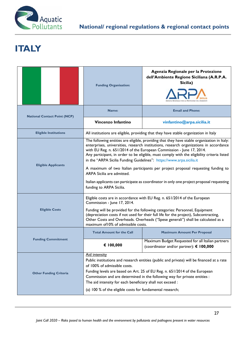

# **ITALY**

|                                     | <b>Funding Organisation:</b>                                                                                                                                                                                                                                                                                                                                                                                                                                                                                                                                                                                                                                                    | Agenzia Regionale per la Protezione<br>dell'Ambiente Regione Siciliana (A.R.P.A.<br>Sicilia)                                                                                                                                                             |  |
|-------------------------------------|---------------------------------------------------------------------------------------------------------------------------------------------------------------------------------------------------------------------------------------------------------------------------------------------------------------------------------------------------------------------------------------------------------------------------------------------------------------------------------------------------------------------------------------------------------------------------------------------------------------------------------------------------------------------------------|----------------------------------------------------------------------------------------------------------------------------------------------------------------------------------------------------------------------------------------------------------|--|
| <b>National Contact Point (NCP)</b> | Name:                                                                                                                                                                                                                                                                                                                                                                                                                                                                                                                                                                                                                                                                           | <b>Email and Phone:</b>                                                                                                                                                                                                                                  |  |
|                                     | Vincenzo Infantino                                                                                                                                                                                                                                                                                                                                                                                                                                                                                                                                                                                                                                                              | vinfantino@arpa.sicilia.it                                                                                                                                                                                                                               |  |
| <b>Eligible Institutions</b>        |                                                                                                                                                                                                                                                                                                                                                                                                                                                                                                                                                                                                                                                                                 | All institutions are eligible, providing that they have stable organization in Italy                                                                                                                                                                     |  |
| <b>Eligible Applicants</b>          | The following entities are eligible, providing that they have stable organization in Italy:<br>enterprises, universities, research institutions, research organizations in accordance<br>with EU Reg. n. 651/2014 of the European Commission - June 17, 2014.<br>Any participant, in order to be eligible, must comply with the eligibility criteria listed<br>in the "ARPA Sicilia Funding Guidelines": https://www.arpa.sicilia.it<br>A maximum of two Italian participants per project proposal requesting funding to<br>ARPA Sicilia are admitted.<br>Italian applicants can participate as coordinator in only one project proposal requesting<br>funding to ARPA Sicilia. |                                                                                                                                                                                                                                                          |  |
|                                     | Eligible costs are in accordance with EU Reg. n. 651/2014 of the European<br>Commission - June 17, 2014.                                                                                                                                                                                                                                                                                                                                                                                                                                                                                                                                                                        |                                                                                                                                                                                                                                                          |  |
| <b>Eligible Costs</b>               | maximum of 10% of admissible costs.                                                                                                                                                                                                                                                                                                                                                                                                                                                                                                                                                                                                                                             | Funding will be provided for the following categories: Personnel, Equipment<br>(depreciation costs if not used for their full life for the project), Subcontracting,<br>Other Costs and Overheads. Overheads ("Spese generali") shall be calculated as a |  |
| <b>Funding Commitment</b>           | <b>Total Amount for the Call</b>                                                                                                                                                                                                                                                                                                                                                                                                                                                                                                                                                                                                                                                | <b>Maximum Amount Per Proposal</b>                                                                                                                                                                                                                       |  |
|                                     | € 100,000                                                                                                                                                                                                                                                                                                                                                                                                                                                                                                                                                                                                                                                                       | Maximum Budget Requested for all Italian partners<br>(coordinator and/or partner): € 100,000                                                                                                                                                             |  |
| <b>Other Funding Criteria</b>       | Aid intensity<br>Public institutions and research entities (public and private) will be financed at a rate<br>of 100% of admissible costs.<br>Funding levels are based on Art. 25 of EU Reg. n. 651/2014 of the European<br>Commission and are determined in the following way for private entities :<br>The aid intensity for each beneficiary shall not exceed :<br>(a) 100 % of the eligible costs for fundamental research;                                                                                                                                                                                                                                                 |                                                                                                                                                                                                                                                          |  |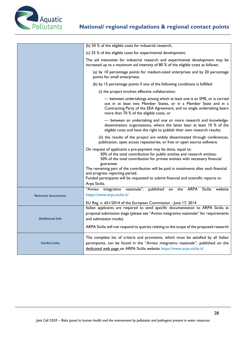

|                           | (b) 50 % of the eligible costs for industrial research;                                                                                                                                                                                                             |  |
|---------------------------|---------------------------------------------------------------------------------------------------------------------------------------------------------------------------------------------------------------------------------------------------------------------|--|
|                           | (c) 25 % of the eligible costs for experimental development;                                                                                                                                                                                                        |  |
|                           | The aid intensities for industrial research and experimental development may be<br>increased up to a maximum aid intensity of 80 % of the eligible costs as follows:                                                                                                |  |
|                           | (a) by 10 percentage points for medium-sized enterprises and by 20 percentage<br>points for small enterprises;                                                                                                                                                      |  |
|                           | (b) by 15 percentage points if one of the following conditions is fulfilled:                                                                                                                                                                                        |  |
|                           | (i) the project involves effective collaboration:                                                                                                                                                                                                                   |  |
|                           | - between undertakings among which at least one is an SME, or is carried<br>out in at least two Member States, or in a Member State and in a<br>Contracting Party of the EEA Agreement, and no single undertaking bears<br>more than 70 % of the eligible costs, or |  |
|                           | - between an undertaking and one or more research and knowledge-<br>dissemination organisations, where the latter bear at least 10 % of the<br>eligible costs and have the right to publish their own research results;                                             |  |
|                           | (ii) the results of the project are widely disseminated through conferences,<br>publication, open access repositories, or free or open source software.                                                                                                             |  |
|                           | On request of applicants a pre-payment may be done, equal to:<br>50% of the total contribution for public entities and research entities;<br>50% of the total contribution for private entities with necessary financial<br>guarantee.                              |  |
|                           | The remaining part of the contribution will be paid in instalments after each financial<br>and progress reporting period.<br>Funded participants will be requested to submit financial and scientific reports to<br>Arpa Sicilia.                                   |  |
|                           | integrativo nazionale", published<br>"Avviso<br><b>ARPA</b><br>Sicilia website<br>the<br>on                                                                                                                                                                         |  |
| <b>Relevant documents</b> | https://www.arpa.sicilia.it/                                                                                                                                                                                                                                        |  |
|                           | EU Reg. n. 651/2014 of the European Commission - June 17, 2014                                                                                                                                                                                                      |  |
|                           | Italian applicants are required to send specific documentation to ARPA Sicilia at                                                                                                                                                                                   |  |
| <b>Additional Info</b>    | proposal submission stage (please see "Avviso integrativo nazionale" for requirements                                                                                                                                                                               |  |
|                           | and submission mode).<br>ARPA Sicilia will not respond to queries relating to the scope of the proposed research                                                                                                                                                    |  |
| <b>Useful Links</b>       | The complete list of criteria and provisions, which must be satisfied by all Italian<br>participants, can be found in the "Avviso integrativo nazionale", published on the<br>dedicated web page on ARPA Sicilia website https://www.arpa.sicilia.it/               |  |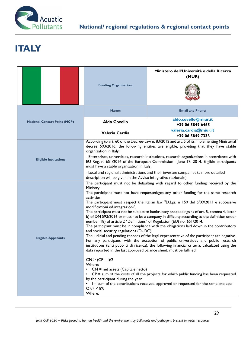

# **ITALY**

|                                     |                                                                                                                                                                                                                                                                                                                                                                                                           | Ministero dell'Università e della Ricerca<br>(MUR) |  |
|-------------------------------------|-----------------------------------------------------------------------------------------------------------------------------------------------------------------------------------------------------------------------------------------------------------------------------------------------------------------------------------------------------------------------------------------------------------|----------------------------------------------------|--|
|                                     | <b>Funding Organisation:</b>                                                                                                                                                                                                                                                                                                                                                                              |                                                    |  |
|                                     | Name:                                                                                                                                                                                                                                                                                                                                                                                                     | <b>Email and Phone:</b>                            |  |
| <b>National Contact Point (NCP)</b> | <b>Aldo Covello</b>                                                                                                                                                                                                                                                                                                                                                                                       | aldo.covello@miur.it<br>+39 06 5849 6465           |  |
|                                     | Valeria Cardia                                                                                                                                                                                                                                                                                                                                                                                            | valeria.cardia@miur.it<br>+39 06 5849 7333         |  |
|                                     | According to art. 60 of the Decree-Law n. 83/2012 and art. 5 of its implementing Ministerial<br>decree 593/2016, the following entities are eligible, providing that they have stable<br>organization in Italy:                                                                                                                                                                                           |                                                    |  |
| <b>Eligible Institutions</b>        | - Enterprises, universities, research institutions, research organizations in accordance with<br>EU Reg. n. 651/2014 of the European Commission - June 17, 2014. Eligible participants<br>must have a stable organization in Italy;                                                                                                                                                                       |                                                    |  |
|                                     | - Local and regional administrations and their investee companies (a more detailed<br>description will be given in the Avviso integrativo nazionale)                                                                                                                                                                                                                                                      |                                                    |  |
|                                     | The participant must not be defaulting with regard to other funding received by the<br>Ministry.<br>The participant must not have requested/got any other funding for the same research<br>activities.                                                                                                                                                                                                    |                                                    |  |
|                                     | The participant must respect the Italian law "D.Lgs. n 159 del 6/09/2011 e successive<br>modificazioni ed integrazioni".<br>The participant must not be subject to bankruptcy proceedings as of art. 5, comma 4, letter                                                                                                                                                                                   |                                                    |  |
|                                     | b) of DM 593/2016 or must not be a company in difficulty according to the definition under<br>number 18) of article 2 "Definitions" of Regulation (EU) no. 651/2014.<br>The participant must be in compliance with the obligations laid down in the contributory                                                                                                                                          |                                                    |  |
| <b>Eligible Applicants</b>          | and social security regulations (DURC).<br>The judicial and pending records of the legal representative of the participant are negative.<br>For any participant, with the exception of public universities and public research<br>institutions (Enti pubblici di ricerca), the following financial criteria, calculated using the<br>data reported in the last approved balance sheet, must be fulfilled: |                                                    |  |
|                                     | $CN > (CP - I)/2$<br>Where:<br>$CN = net$ assets (Capitale netto)                                                                                                                                                                                                                                                                                                                                         |                                                    |  |
|                                     | • CP = sum of the costs of all the projects for which public funding has been requested<br>by the participant during the year<br>• I = sum of the contributions received, approved or requested for the same projects                                                                                                                                                                                     |                                                    |  |
|                                     | OF/F < 8%<br>Where:                                                                                                                                                                                                                                                                                                                                                                                       |                                                    |  |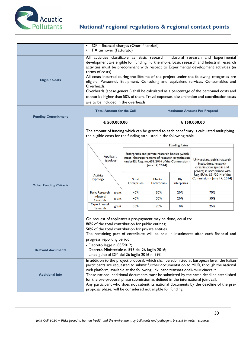

|                               | $\bullet$<br>$F =$ turnover (Fatturato)<br>$\bullet$                                                                                                                                                                                                                                                                                                                                                                                                                                                                                                                                                                                                                                                                             |                         | OF = financial charges (Oneri finanziari)                                                                                                                                                              |                                                                     |                                                                               |                                                                                                                                                                                                                                                                                                                                                                                            |
|-------------------------------|----------------------------------------------------------------------------------------------------------------------------------------------------------------------------------------------------------------------------------------------------------------------------------------------------------------------------------------------------------------------------------------------------------------------------------------------------------------------------------------------------------------------------------------------------------------------------------------------------------------------------------------------------------------------------------------------------------------------------------|-------------------------|--------------------------------------------------------------------------------------------------------------------------------------------------------------------------------------------------------|---------------------------------------------------------------------|-------------------------------------------------------------------------------|--------------------------------------------------------------------------------------------------------------------------------------------------------------------------------------------------------------------------------------------------------------------------------------------------------------------------------------------------------------------------------------------|
| <b>Eligible Costs</b>         | All activities classifiable as Basic research, Industrial research and Experimental<br>development are eligible for funding. Furthermore, Basic research and Industrial research<br>activities must be predominant with respect to Experimental development activities (in<br>terms of costs).<br>All costs incurred during the lifetime of the project under the following categories are<br>eligible: Personnel, Equipment, Consulting and equivalent services, Consumables and<br>Overheads.<br>Overheads (spese generali) shall be calculated as a percentage of the personnel costs and<br>cannot be higher than 50% of them. Travel expenses, dissemination and coordination costs<br>are to be included in the overheads. |                         |                                                                                                                                                                                                        |                                                                     |                                                                               |                                                                                                                                                                                                                                                                                                                                                                                            |
| <b>Funding Commitment</b>     | <b>Total Amount for the Call</b><br><b>Maximum Amount Per Proposal</b>                                                                                                                                                                                                                                                                                                                                                                                                                                                                                                                                                                                                                                                           |                         |                                                                                                                                                                                                        |                                                                     |                                                                               |                                                                                                                                                                                                                                                                                                                                                                                            |
|                               |                                                                                                                                                                                                                                                                                                                                                                                                                                                                                                                                                                                                                                                                                                                                  | € 500.000,00            |                                                                                                                                                                                                        |                                                                     |                                                                               | € 150.000,00                                                                                                                                                                                                                                                                                                                                                                               |
| <b>Other Funding Criteria</b> | the eligible costs for the funding rate listed in the following table.<br>Applicant<br>typology<br>Activity<br>typology<br><b>Basic Research</b><br>Industrial<br>Research<br><b>Experimental</b><br>Research<br>On request of applicants a pre-payment may be done, equal to:<br>80% of the total contribution for public entities;<br>50% of the total contribution for private entities.<br>progress reporting period.                                                                                                                                                                                                                                                                                                        | grant<br>grant<br>grant | Enterprises and private research bodies (which<br>meet the requirements of research organization<br>under EU Reg. no. 651/2014 of the Commission -<br>Small<br><b>Enterprises</b><br>40%<br>40%<br>30% | June 17, 2014)<br>Medium<br><b>Enterprises</b><br>30%<br>30%<br>20% | <b>Funding Rates</b><br><b>Big</b><br><b>Enterprises</b><br>20%<br>20%<br>10% | The amount of funding which can be granted to each beneficiary is calculated multiplying<br>Universities, public research<br>institutions, research<br>organizations (public and<br>private) in accordance with<br>Reg. EU n. 651/2014 of the<br>Commission - June 17, 2014)<br>70%<br>50%<br>25%<br>The remaining part of contribute will be paid in instalments after each financial and |
| <b>Relevant documents</b>     | - Decreto legge n. 83/2012;<br>- Decreto Ministeriale n. 593 del 26 luglio 2016;<br>- Linee guida al DM del 26 luglio 2016 n. 593                                                                                                                                                                                                                                                                                                                                                                                                                                                                                                                                                                                                |                         |                                                                                                                                                                                                        |                                                                     |                                                                               |                                                                                                                                                                                                                                                                                                                                                                                            |
| <b>Additional Info</b>        | In addition to the project proposal, which shall be submitted at European level, the Italian<br>participants are requested to submit further documentation to MUR, through the national<br>web platform, available at the following link: banditransnazionali-miur.cineca.it<br>These national additional documents must be submitted by the same deadline established<br>for the pre-proposal phase submission as defined in the international joint call.<br>Any participant who does not submit its national documents by the deadline of the pre-<br>proposal phase, will be considered not eligible for funding.                                                                                                            |                         |                                                                                                                                                                                                        |                                                                     |                                                                               |                                                                                                                                                                                                                                                                                                                                                                                            |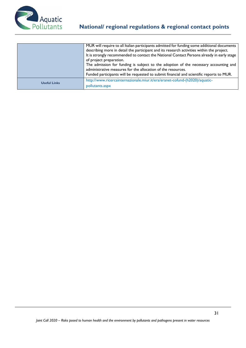

|                     | MUR will require to all Italian participants admitted for funding some additional documents<br>describing more in detail the participant and its research activities within the project.<br>It is strongly recommended to contact the National Contact Persons already in early stage<br>of project preparation.<br>The admission for funding is subject to the adoption of the necessary accounting and<br>administrative measures for the allocation of the resources.<br>Funded participants will be requested to submit financial and scientific reports to MUR. |
|---------------------|----------------------------------------------------------------------------------------------------------------------------------------------------------------------------------------------------------------------------------------------------------------------------------------------------------------------------------------------------------------------------------------------------------------------------------------------------------------------------------------------------------------------------------------------------------------------|
| <b>Useful Links</b> | http://www.ricercainternazionale.miur.it/era/eranet-cofund-(h2020)/aquatic-<br>pollutants.aspx                                                                                                                                                                                                                                                                                                                                                                                                                                                                       |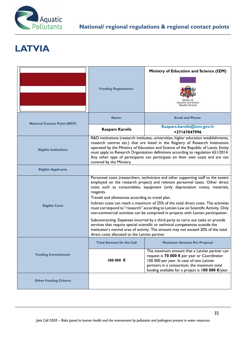

# **LATVIA**

|                                     |                                                                                                                                                                                                                                                                                                                                                                                                                                                                                                                                                                                                                                                                                                                                                                                                                                                                                                   | Ministry of Education and Science (IZM)                                                                                                                                                                                                                    |  |
|-------------------------------------|---------------------------------------------------------------------------------------------------------------------------------------------------------------------------------------------------------------------------------------------------------------------------------------------------------------------------------------------------------------------------------------------------------------------------------------------------------------------------------------------------------------------------------------------------------------------------------------------------------------------------------------------------------------------------------------------------------------------------------------------------------------------------------------------------------------------------------------------------------------------------------------------------|------------------------------------------------------------------------------------------------------------------------------------------------------------------------------------------------------------------------------------------------------------|--|
|                                     | <b>Funding Organisation:</b>                                                                                                                                                                                                                                                                                                                                                                                                                                                                                                                                                                                                                                                                                                                                                                                                                                                                      | <b>Education and Science</b><br>Republic of Latvia                                                                                                                                                                                                         |  |
| <b>National Contact Point (NCP)</b> | Name:                                                                                                                                                                                                                                                                                                                                                                                                                                                                                                                                                                                                                                                                                                                                                                                                                                                                                             | <b>Email and Phone:</b>                                                                                                                                                                                                                                    |  |
|                                     | <b>Kaspars Karolis</b>                                                                                                                                                                                                                                                                                                                                                                                                                                                                                                                                                                                                                                                                                                                                                                                                                                                                            | Kaspars.karolis@izm.gov.lv<br>+37167047996                                                                                                                                                                                                                 |  |
| <b>Eligible Institutions</b>        | R&D institutions (research institutes, universities, higher education establishments,<br>research centres etc.) that are listed in the Registry of Research Institutions<br>operated by the Ministry of Education and Science of the Republic of Latvia. Entity<br>must apply to Research Organization definitions according to regulation 651/2014.<br>Any other type of participants can participate on their own costs and are not<br>covered by the Ministry.                                                                                                                                                                                                                                                                                                                                                                                                                                 |                                                                                                                                                                                                                                                            |  |
| <b>Eligible Applicants</b>          |                                                                                                                                                                                                                                                                                                                                                                                                                                                                                                                                                                                                                                                                                                                                                                                                                                                                                                   |                                                                                                                                                                                                                                                            |  |
| <b>Eligible Costs</b>               | Personnel costs (researchers, technicians and other supporting staff to the extent<br>employed on the research project) and relevant personnel taxes. Other direct<br>costs such as consumables, equipment (only depreciation costs), materials,<br>reagents.<br>Travels and allowances according to travel plan.<br>Indirect costs can reach a maximum of 25% of the total direct costs. The activities<br>must correspond to "research" according to Latvian Law on Scientific Activity. Only<br>non-commercial activities can be comprised in projects with Latvian participation.<br>Subcontracting: Expenses incurred by a third party to carry out tasks or provide<br>services that require special scientific or technical competences outside the<br>institution's normal area of activity. The amount may not exceed 20% of the total<br>direct costs allocated to the Latvian partner. |                                                                                                                                                                                                                                                            |  |
|                                     | <b>Total Amount for the Call</b>                                                                                                                                                                                                                                                                                                                                                                                                                                                                                                                                                                                                                                                                                                                                                                                                                                                                  | <b>Maximum Amount Per Proposal</b>                                                                                                                                                                                                                         |  |
| <b>Funding Commitment</b>           | 300 000 €                                                                                                                                                                                                                                                                                                                                                                                                                                                                                                                                                                                                                                                                                                                                                                                                                                                                                         | The maximum amount that a Latvian partner can<br>request is 70 000 € per year or Coordinator<br>100 000 per year. In case of two Latvian<br>partners in a consortium, the maximum total<br>funding available for a project is $100 000 \, \epsilon$ /year. |  |
| <b>Other Funding Criteria</b>       |                                                                                                                                                                                                                                                                                                                                                                                                                                                                                                                                                                                                                                                                                                                                                                                                                                                                                                   |                                                                                                                                                                                                                                                            |  |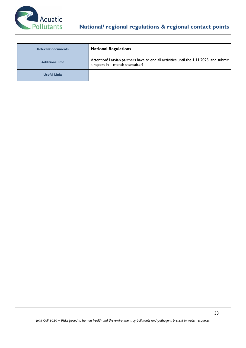

| <b>Relevant documents</b> | <b>National Regulations</b>                                                                                               |
|---------------------------|---------------------------------------------------------------------------------------------------------------------------|
| <b>Additional Info</b>    | Attention! Latvian partners have to end all activities until the 1.11.2023, and submit<br>a report in I month thereafter! |
| <b>Useful Links</b>       |                                                                                                                           |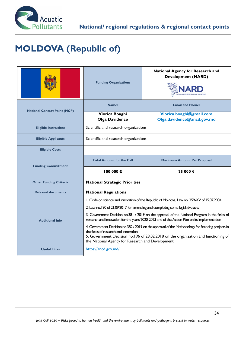

# **MOLDOVA (Republic of)**

|                                     | <b>Funding Organisation:</b>                                                                                                                                                                                                                                                         | <b>National Agency for Research and</b><br><b>Development (NARD)</b> |  |
|-------------------------------------|--------------------------------------------------------------------------------------------------------------------------------------------------------------------------------------------------------------------------------------------------------------------------------------|----------------------------------------------------------------------|--|
| <b>National Contact Point (NCP)</b> | Name:                                                                                                                                                                                                                                                                                | <b>Email and Phone:</b>                                              |  |
|                                     | Viorica Boaghi<br>Olga Davidenco                                                                                                                                                                                                                                                     | Viorica.boaghi@gmail.com<br>Olga.davidenco@ancd.gov.md               |  |
| <b>Eligible Institutions</b>        | Scientific and research organizations                                                                                                                                                                                                                                                |                                                                      |  |
| <b>Eligible Applicants</b>          | Scientific and research organizations                                                                                                                                                                                                                                                |                                                                      |  |
| <b>Eligible Costs</b>               |                                                                                                                                                                                                                                                                                      |                                                                      |  |
| <b>Funding Commitment</b>           | <b>Total Amount for the Call</b>                                                                                                                                                                                                                                                     | <b>Maximum Amount Per Proposal</b>                                   |  |
|                                     | 100000 €<br>25 000 €                                                                                                                                                                                                                                                                 |                                                                      |  |
| <b>Other Funding Criteria</b>       | <b>National Strategic Priorities</b>                                                                                                                                                                                                                                                 |                                                                      |  |
| <b>Relevant documents</b>           | <b>National Regulations</b>                                                                                                                                                                                                                                                          |                                                                      |  |
|                                     | I. Code on science and innovation of the Republic of Moldova, Law no. 259-XV of 15.07.2004                                                                                                                                                                                           |                                                                      |  |
|                                     | 2. Law no. 190 of 21.09.2017 for amending and completing some legislative acts                                                                                                                                                                                                       |                                                                      |  |
| <b>Additional Info</b>              | 3. Government Decision no.381 / 2019 on the approval of the National Program in the fields of<br>research and innovation for the years 2020-2023 and of the Action Plan on its implementation                                                                                        |                                                                      |  |
|                                     | 4. Government Decision no.382 / 2019 on the approval of the Methodology for financing projects in<br>the fields of research and innovation<br>5. Government Decision no.196 of 28.02.2018 on the organization and functioning of<br>the National Agency for Research and Development |                                                                      |  |
| <b>Useful Links</b>                 | https://ancd.gov.md/                                                                                                                                                                                                                                                                 |                                                                      |  |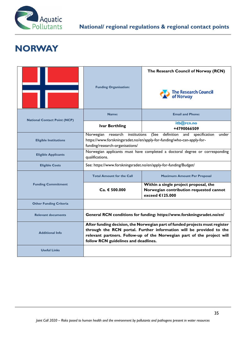

#### **NORWAY**

|                                     |                                                                                                                                                                                                                                                                      | The Research Council of Norway (RCN)                                                                |
|-------------------------------------|----------------------------------------------------------------------------------------------------------------------------------------------------------------------------------------------------------------------------------------------------------------------|-----------------------------------------------------------------------------------------------------|
|                                     | <b>Funding Organisation:</b>                                                                                                                                                                                                                                         | The Research Council<br>of Norway                                                                   |
| <b>National Contact Point (NCP)</b> | Name:                                                                                                                                                                                                                                                                | <b>Email and Phone:</b>                                                                             |
|                                     | <b>Ivar Berthling</b>                                                                                                                                                                                                                                                | itb@rcn.no<br>+4790066509                                                                           |
| <b>Eligible Institutions</b>        | (See<br>research institutions<br>definition and<br>Norwegian<br>specification<br>under<br>https://www.forskningsradet.no/en/apply-for-funding/who-can-apply-for-<br>funding/research-organisations/                                                                  |                                                                                                     |
| <b>Eligible Applicants</b>          | Norwegian applicants must have completed a doctoral degree or corresponding<br>qualifications.                                                                                                                                                                       |                                                                                                     |
| <b>Eligible Costs</b>               | See: https://www.forskningsradet.no/en/apply-for-funding/Budget/                                                                                                                                                                                                     |                                                                                                     |
|                                     | <b>Total Amount for the Call</b>                                                                                                                                                                                                                                     | <b>Maximum Amount Per Proposal</b>                                                                  |
| <b>Funding Commitment</b>           | $Ca. \in 500.000$                                                                                                                                                                                                                                                    | Within a single project proposal, the<br>Norwegian contribution requested cannot<br>exceed €125.000 |
| <b>Other Funding Criteria</b>       |                                                                                                                                                                                                                                                                      |                                                                                                     |
| <b>Relevant documents</b>           | General RCN conditions for funding: https://www.forskningsradet.no/en/                                                                                                                                                                                               |                                                                                                     |
| <b>Additional Info</b>              | After funding decision, the Norwegian part of funded projects must register<br>through the RCN portal. Further information will be provided to the<br>relevant partners. Follow-up of the Norwegian part of the project will<br>follow RCN guidelines and deadlines. |                                                                                                     |
| <b>Useful Links</b>                 |                                                                                                                                                                                                                                                                      |                                                                                                     |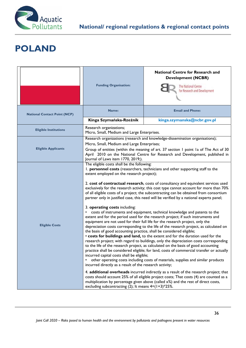

# **POLAND**

|                                     | <b>Funding Organisation:</b>                                                                                                                                                                                                                                                                                                                                                                                                                                                                                                                                                                                                                                                                                                                                                                                | <b>National Centre for Research and</b><br><b>Development (NCBR)</b><br>The National Centre<br>for Research and Development                                                                                                                                            |
|-------------------------------------|-------------------------------------------------------------------------------------------------------------------------------------------------------------------------------------------------------------------------------------------------------------------------------------------------------------------------------------------------------------------------------------------------------------------------------------------------------------------------------------------------------------------------------------------------------------------------------------------------------------------------------------------------------------------------------------------------------------------------------------------------------------------------------------------------------------|------------------------------------------------------------------------------------------------------------------------------------------------------------------------------------------------------------------------------------------------------------------------|
| <b>National Contact Point (NCP)</b> | Name:                                                                                                                                                                                                                                                                                                                                                                                                                                                                                                                                                                                                                                                                                                                                                                                                       | <b>Email and Phone:</b>                                                                                                                                                                                                                                                |
|                                     | Kinga Szymańska-Rzeźnik                                                                                                                                                                                                                                                                                                                                                                                                                                                                                                                                                                                                                                                                                                                                                                                     | kinga.szymanska@ncbr.gov.pl                                                                                                                                                                                                                                            |
| <b>Eligible Institutions</b>        | Research organizations;<br>Micro, Small, Medium and Large Enterprises.                                                                                                                                                                                                                                                                                                                                                                                                                                                                                                                                                                                                                                                                                                                                      |                                                                                                                                                                                                                                                                        |
| <b>Eligible Applicants</b>          | Research organizations (research and knowledge-dissemination organisations);<br>Micro, Small, Medium and Large Enterprises;<br>Group of entities (within the meaning of art. 37 section I point Ia of The Act of 30<br>April 2010 on the National Centre for Research and Development, published in<br>Journal of Laws item 1770, 2019;).                                                                                                                                                                                                                                                                                                                                                                                                                                                                   |                                                                                                                                                                                                                                                                        |
|                                     | The eligible costs shall be the following:<br>I. personnel costs (researchers, technicians and other supporting staff to the<br>extent employed on the research project);<br>2. cost of contractual research, costs of consultancy and equivalent services used<br>exclusively for the research activity; this cost type cannot account for more than 70%<br>of all eligible costs of a project; the subcontracting can be obtained from consortium<br>partner only in justified case, this need will be verified by a national experts panel;<br>3. operating costs including:<br>costs of instruments and equipment, technical knowledge and patents to the<br>extent and for the period used for the research project; if such instruments and                                                           |                                                                                                                                                                                                                                                                        |
| <b>Eligible Costs</b>               | equipment are not used for their full life for the research project, only the<br>depreciation costs corresponding to the life of the research project, as calculated on<br>the basis of good accounting practice, shall be considered eligible;<br>. costs for buildings and land, to the extent and for the duration used for the<br>research project; with regard to buildings, only the depreciation costs corresponding<br>to the life of the research project, as calculated on the basis of good accounting<br>practice shall be considered eligible; for land, costs of commercial transfer or actually<br>incurred capital costs shall be eligible;<br>other operating costs including costs of materials, supplies and similar products<br>incurred directly as a result of the research activity; |                                                                                                                                                                                                                                                                        |
|                                     | excluding subcontracting (2); It means $4=(1+3)*25\%$ .                                                                                                                                                                                                                                                                                                                                                                                                                                                                                                                                                                                                                                                                                                                                                     | 4. additional overheads incurred indirectly as a result of the research project; that<br>costs should account 25% of all eligible project costs; That costs (4) are counted as a<br>multiplication by percentage given above (called x%) and the rest of direct costs, |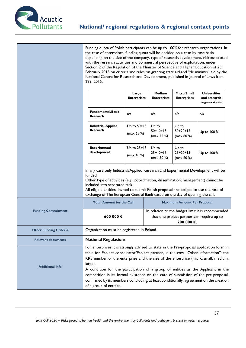

Funding quota of Polish participants can be up to 100% for research organizations. In the case of enterprises, funding quota will be decided on a case-by-case basis depending on the size of the company, type of research/development, risk associated with the research activities and commercial perspective of exploitation, under Section 2 of the Regulation of the Minister of Science and Higher Education of 25 February 2015 on criteria and rules on granting state aid and "de minimis" aid by the National Centre for Research and Development, published in Journal of Laws item 299, 2015.

|                               |                                                                                                                                                                                                                                                                                                                                                                                                                                                                                                                                                                              | Large<br><b>Enterprises</b> | <b>Medium</b><br><b>Enterprises</b> | Micro/Small<br><b>Enterprises</b>                                                                             | <b>Universities</b><br>and research<br>organizations |
|-------------------------------|------------------------------------------------------------------------------------------------------------------------------------------------------------------------------------------------------------------------------------------------------------------------------------------------------------------------------------------------------------------------------------------------------------------------------------------------------------------------------------------------------------------------------------------------------------------------------|-----------------------------|-------------------------------------|---------------------------------------------------------------------------------------------------------------|------------------------------------------------------|
|                               | <b>Fundamental/Basic</b><br>Research                                                                                                                                                                                                                                                                                                                                                                                                                                                                                                                                         | n/a                         | n/a                                 | n/a                                                                                                           | n/a                                                  |
|                               | <b>Industrial/Applied</b><br>Research                                                                                                                                                                                                                                                                                                                                                                                                                                                                                                                                        | Up to 50+15<br>(max 65 %    | Up to<br>$50+10+15$<br>(max 75 %)   | Up to<br>$50+20+15$<br>( $max 80 %$ )                                                                         | Up to 100 %                                          |
|                               | <b>Experimental</b><br>development                                                                                                                                                                                                                                                                                                                                                                                                                                                                                                                                           | Up to 25+15<br>(max 40 %    | Up to<br>$25+10+15$<br>(max 50 %)   | Up to<br>$25+20+15$<br>(max 60 %                                                                              | Up to 100 %                                          |
|                               | In any case only Industrial/Applied Research and Experimental Development will be<br>funded.<br>Other type of activities (e.g. coordination, dissemination, management) cannot be<br>included into separated task.<br>All eligible entities, invited to submit Polish proposal are obliged to use the rate of<br>exchange of The European Central Bank dated on the day of opening the call.                                                                                                                                                                                 |                             |                                     |                                                                                                               |                                                      |
|                               | <b>Total Amount for the Call</b><br><b>Maximum Amount Per Proposal</b>                                                                                                                                                                                                                                                                                                                                                                                                                                                                                                       |                             |                                     |                                                                                                               |                                                      |
| <b>Funding Commitment</b>     | 600 000€                                                                                                                                                                                                                                                                                                                                                                                                                                                                                                                                                                     |                             |                                     | In relation to the budget limit it is recommended<br>that one project partner can require up to<br>200 000 €. |                                                      |
| <b>Other Funding Criteria</b> | Organization must be registered in Poland.                                                                                                                                                                                                                                                                                                                                                                                                                                                                                                                                   |                             |                                     |                                                                                                               |                                                      |
| <b>Relevant documents</b>     | <b>National Regulations</b>                                                                                                                                                                                                                                                                                                                                                                                                                                                                                                                                                  |                             |                                     |                                                                                                               |                                                      |
| <b>Additional Info</b>        | For enterprises it is strongly advised to state in the Pre-proposal application form in<br>table for Project coordinator/Project partner, in the row "Other information": the<br>KRS number of the enterprise and the size of the enterprise (micro/small, medium,<br>large).<br>A condition for the participation of a group of entities as the Applicant in the<br>competition is its formal existence on the date of submission of the pre-proposal,<br>confirmed by its members concluding, at least conditionally, agreement on the creation<br>of a group of entities. |                             |                                     |                                                                                                               |                                                      |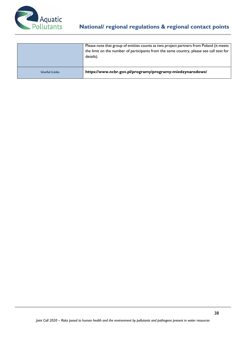

|                     | Please note that group of entities counts as two project partners from Poland (it meets<br>the limit on the number of participants from the same country, please see call text for<br>details). |
|---------------------|-------------------------------------------------------------------------------------------------------------------------------------------------------------------------------------------------|
| <b>Useful Links</b> | https://www.ncbr.gov.pl/programy/programy-miedzynarodowe/                                                                                                                                       |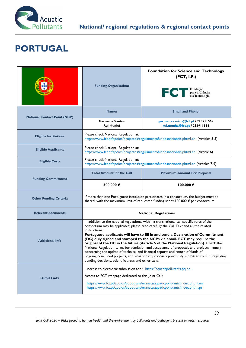

# **PORTUGAL**

|                                     | <b>Funding Organisation:</b>                                                                                                   | <b>Foundation for Science and Technology</b><br>(FCT, I.P.)<br>Fundação<br>para a Ciência<br>e a Tecnologia<br>FCT                                                                                                                                                                                                                                                                                                                                                                                                                                                                                                                                                                                                     |
|-------------------------------------|--------------------------------------------------------------------------------------------------------------------------------|------------------------------------------------------------------------------------------------------------------------------------------------------------------------------------------------------------------------------------------------------------------------------------------------------------------------------------------------------------------------------------------------------------------------------------------------------------------------------------------------------------------------------------------------------------------------------------------------------------------------------------------------------------------------------------------------------------------------|
| <b>National Contact Point (NCP)</b> | Name:                                                                                                                          | <b>Email and Phone:</b>                                                                                                                                                                                                                                                                                                                                                                                                                                                                                                                                                                                                                                                                                                |
|                                     | <b>Germana Santos</b><br>Rui Munhá                                                                                             | germana.santos@fct.pt / 213911569<br>rui.munha@fct.pt / 213911538                                                                                                                                                                                                                                                                                                                                                                                                                                                                                                                                                                                                                                                      |
| <b>Eligible Institutions</b>        | Please check National Regulation at:                                                                                           | https://www.fct.pt/apoios/projectos/regulamentofundosnacionais.phtml.en (Articles 3-5)                                                                                                                                                                                                                                                                                                                                                                                                                                                                                                                                                                                                                                 |
| <b>Eligible Applicants</b>          | Please check National Regulation at:                                                                                           | https://www.fct.pt/apoios/projectos/regulamentofundosnacionais.phtml.en (Article 6)                                                                                                                                                                                                                                                                                                                                                                                                                                                                                                                                                                                                                                    |
| <b>Eligible Costs</b>               | Please check National Regulation at:<br>https://www.fct.pt/apoios/projectos/regulamentofundosnacionais.phtml.en (Articles 7-9) |                                                                                                                                                                                                                                                                                                                                                                                                                                                                                                                                                                                                                                                                                                                        |
| <b>Funding Commitment</b>           | <b>Total Amount for the Call</b>                                                                                               | <b>Maximum Amount Per Proposal</b>                                                                                                                                                                                                                                                                                                                                                                                                                                                                                                                                                                                                                                                                                     |
|                                     |                                                                                                                                |                                                                                                                                                                                                                                                                                                                                                                                                                                                                                                                                                                                                                                                                                                                        |
|                                     | 300.000€                                                                                                                       | $100.000 \in$                                                                                                                                                                                                                                                                                                                                                                                                                                                                                                                                                                                                                                                                                                          |
| <b>Other Funding Criteria</b>       |                                                                                                                                | If more than one Portuguese institution participates in a consortium, the budget must be<br>shared, with the maximum limit of requested funding set at 100.000 € per consortium.                                                                                                                                                                                                                                                                                                                                                                                                                                                                                                                                       |
| <b>Relevant documents</b>           |                                                                                                                                | <b>National Regulations</b>                                                                                                                                                                                                                                                                                                                                                                                                                                                                                                                                                                                                                                                                                            |
| <b>Additional Info</b>              | instructions.<br>pending decisions, scientific areas and other calls.                                                          | In addition to the national regulations, within a transnational call specific rules of the<br>consortium may be applicable; please read carefully the Call Text and all the related<br>Portuguese applicants will have to fill in and send a Declaration of Commitment<br>(DC) duly signed and stamped to the NCPs via email. FCT may require the<br>original of the DC in the future (Article 5 of the National Regulation). Check the<br>National Regulation terms for admission and acceptance of proposals and projects, namely<br>concerning the update of technical and financial reports and return of funds of<br>ongoing/concluded projects, and situation of proposals previously submitted to FCT regarding |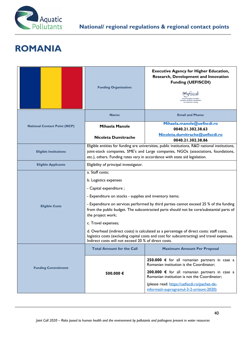

#### **ROMANIA**

|                                     | <b>Funding Organisation:</b>                                                                                                                                                                                                                                                                                                                                                                                                                                                                                                                                                                                     | <b>Executive Agency for Higher Education,</b><br>Research, Development and Innovation<br><b>Funding (UEFISCDI)</b><br>Education, Research, Develope<br>and Innovation Funding                                                                                                          |  |
|-------------------------------------|------------------------------------------------------------------------------------------------------------------------------------------------------------------------------------------------------------------------------------------------------------------------------------------------------------------------------------------------------------------------------------------------------------------------------------------------------------------------------------------------------------------------------------------------------------------------------------------------------------------|----------------------------------------------------------------------------------------------------------------------------------------------------------------------------------------------------------------------------------------------------------------------------------------|--|
|                                     | Name:                                                                                                                                                                                                                                                                                                                                                                                                                                                                                                                                                                                                            | <b>Email and Phone:</b>                                                                                                                                                                                                                                                                |  |
| <b>National Contact Point (NCP)</b> | <b>Mihaela Manole</b>                                                                                                                                                                                                                                                                                                                                                                                                                                                                                                                                                                                            | Mihaela.manole@uefiscdi.ro<br>0040.21.302.38.63                                                                                                                                                                                                                                        |  |
|                                     | Nicoleta Dumitrache                                                                                                                                                                                                                                                                                                                                                                                                                                                                                                                                                                                              | Nicoleta.dumitrache@uefiscdi.ro<br>0040.21.302.38.86                                                                                                                                                                                                                                   |  |
| <b>Eligible Institutions</b>        | Eligible entities for funding are universities, public institutions, R&D national institutions,<br>joint-stock companies, SME's and Large companies, NGOs (associations, foundations,<br>etc.), others. Funding rates vary in accordance with state aid legislation.                                                                                                                                                                                                                                                                                                                                             |                                                                                                                                                                                                                                                                                        |  |
| <b>Eligible Applicants</b>          | Eligibility of principal investigator.                                                                                                                                                                                                                                                                                                                                                                                                                                                                                                                                                                           |                                                                                                                                                                                                                                                                                        |  |
| <b>Eligible Costs</b>               | a. Staff costs;<br>b. Logistics expenses<br>- Capital expenditure;<br>- Expenditure on stocks - supplies and inventory items;<br>- Expenditure on services performed by third parties cannot exceed 25 % of the funding<br>from the public budget. The subcontracted parts should not be core/substantial parts of<br>the project work;<br>c. Travel expenses;<br>d. Overhead (indirect costs) is calculated as a percentage of direct costs: staff costs,<br>logistics costs (excluding capital costs and cost for subcontracting) and travel expenses.<br>Indirect costs will not exceed 20 % of direct costs. |                                                                                                                                                                                                                                                                                        |  |
|                                     | <b>Total Amount for the Call</b>                                                                                                                                                                                                                                                                                                                                                                                                                                                                                                                                                                                 | <b>Maximum Amount Per Proposal</b>                                                                                                                                                                                                                                                     |  |
| <b>Funding Commitment</b>           | 500.000€                                                                                                                                                                                                                                                                                                                                                                                                                                                                                                                                                                                                         | 250.000 € for all romanian partners in case a<br>Romanian institution is the Coordinator;<br>200.000 € for all romanian partners in case a<br>Romanian institution is not the Coordinator;<br>(please read: https://uefiscdi.ro/pachet-de-<br>informatii-suprogramul-3-2-orizont-2020) |  |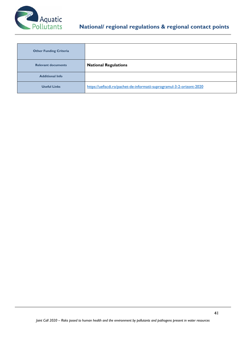

| <b>Other Funding Criteria</b> |                                                                       |
|-------------------------------|-----------------------------------------------------------------------|
| <b>Relevant documents</b>     | <b>National Regulations</b>                                           |
| <b>Additional Info</b>        |                                                                       |
| <b>Useful Links</b>           | https://uefiscdi.ro/pachet-de-informatii-suprogramul-3-2-orizont-2020 |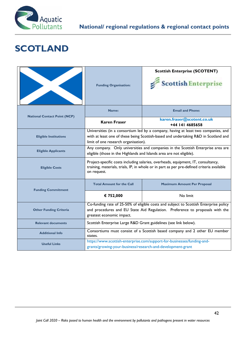

# **SCOTLAND**

|                                     | <b>Funding Organisation:</b>                                                                                                                                                                                      | <b>Scottish Enterprise (SCOTENT)</b><br>Scottish Enterprise |  |
|-------------------------------------|-------------------------------------------------------------------------------------------------------------------------------------------------------------------------------------------------------------------|-------------------------------------------------------------|--|
| <b>National Contact Point (NCP)</b> | Name:                                                                                                                                                                                                             | <b>Email and Phone:</b>                                     |  |
|                                     | <b>Karen Fraser</b>                                                                                                                                                                                               | karen.fraser@scotent.co.uk<br>+44 141 4685658               |  |
| <b>Eligible Institutions</b>        | Universities (in a consortium led by a company, having at least two companies, and<br>with at least one of these being Scottish-based and undertaking R&D in Scotland and<br>limit of one research organisation). |                                                             |  |
| <b>Eligible Applicants</b>          | Any company. Only universities and companies in the Scottish Enterprise area are<br>eligible (those in the Highlands and Islands area are not eligible).                                                          |                                                             |  |
| <b>Eligible Costs</b>               | Project-specific costs including salaries, overheads, equipment, IT, consultancy,<br>training, materials, trials, IP, in whole or in part as per pre-defined criteria available<br>on request.                    |                                                             |  |
| <b>Funding Commitment</b>           | <b>Total Amount for the Call</b>                                                                                                                                                                                  | <b>Maximum Amount Per Proposal</b>                          |  |
|                                     | € 752,000                                                                                                                                                                                                         | No limit                                                    |  |
| <b>Other Funding Criteria</b>       | Co-funding rate of 25-50% of eligible costs and subject to Scottish Enterprise policy<br>and procedures and EU State Aid Regulation. Preference to proposals with the<br>greatest economic impact.                |                                                             |  |
| <b>Relevant documents</b>           | Scottish Enterprise Large R&D Grant guidelines (see link below).                                                                                                                                                  |                                                             |  |
| <b>Additional Info</b>              | Consortiums must consist of a Scottish based company and 2 other EU member<br>states.                                                                                                                             |                                                             |  |
| <b>Useful Links</b>                 | https://www.scottish-enterprise.com/support-for-businesses/funding-and-<br>grants/growing-your-business/research-and-development-grant                                                                            |                                                             |  |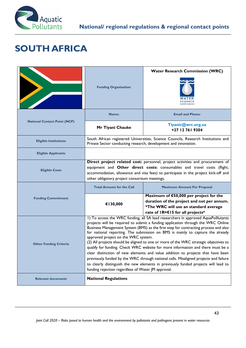

# **SOUTH AFRICA**

| $\blacklozenge$                     | <b>Funding Organisation:</b>                                                                                                                                                                                                                                                                                                                                                                                                                                                                                                                                                                                                                                                                                                                                                                                                                                                             | <b>Water Research Commission (WRC)</b>                                                                                                                            |
|-------------------------------------|------------------------------------------------------------------------------------------------------------------------------------------------------------------------------------------------------------------------------------------------------------------------------------------------------------------------------------------------------------------------------------------------------------------------------------------------------------------------------------------------------------------------------------------------------------------------------------------------------------------------------------------------------------------------------------------------------------------------------------------------------------------------------------------------------------------------------------------------------------------------------------------|-------------------------------------------------------------------------------------------------------------------------------------------------------------------|
|                                     | Name:                                                                                                                                                                                                                                                                                                                                                                                                                                                                                                                                                                                                                                                                                                                                                                                                                                                                                    | <b>Email and Phone:</b>                                                                                                                                           |
| <b>National Contact Point (NCP)</b> | Mr Tiyani Chauke                                                                                                                                                                                                                                                                                                                                                                                                                                                                                                                                                                                                                                                                                                                                                                                                                                                                         | Tiyanic@wrc.org.za<br>+27 12 761 9304                                                                                                                             |
| <b>Eligible Institutions</b>        | Private Sector conducting research, development and innovation.                                                                                                                                                                                                                                                                                                                                                                                                                                                                                                                                                                                                                                                                                                                                                                                                                          | South African registered Universities, Science Councils, Research Institutions and                                                                                |
| <b>Eligible Applicants</b>          |                                                                                                                                                                                                                                                                                                                                                                                                                                                                                                                                                                                                                                                                                                                                                                                                                                                                                          |                                                                                                                                                                   |
| <b>Eligible Costs</b>               | Direct project related cost: personnel, project activities and procurement of<br>equipment and Other direct costs: consumables and travel costs (flight,<br>accommodation, allowance and visa fees) to participate in the project kick-off and<br>other obligatory project consortium meetings.                                                                                                                                                                                                                                                                                                                                                                                                                                                                                                                                                                                          |                                                                                                                                                                   |
|                                     | <b>Total Amount for the Call</b>                                                                                                                                                                                                                                                                                                                                                                                                                                                                                                                                                                                                                                                                                                                                                                                                                                                         | <b>Maximum Amount Per Proposal</b>                                                                                                                                |
| <b>Funding Commitment</b>           | €130,000                                                                                                                                                                                                                                                                                                                                                                                                                                                                                                                                                                                                                                                                                                                                                                                                                                                                                 | Maximum of €50,000 per project for the<br>duration of the project and not per annum.<br>*The WRC will use an standard average<br>rate of IR=€15 for all projects* |
| <b>Other Funding Criteria</b>       | 1) To access the WRC funding, all SA lead researchers in approved AquaPolllutants<br>projects will be required to submit a funding application through the WRC Online<br>Business Management System (BMS) as the first step for contracting process and also<br>for national reporting. The submission on BMS is mainly to capture the already<br>approved project on the WRC system.<br>(2) All projects should be aligned to one or more of the WRC strategic objectives to<br>qualify for funding. Check WRC website for more information and there must be a<br>clear distinction of new elements and value addition to projects that have been<br>previously funded by the WRC through national calls. Misaligned projects and failure<br>to clearly distinguish the new elements in previously funded projects will lead to<br>funding rejection regardless of Water JPI approval. |                                                                                                                                                                   |
| <b>Relevant documents</b>           | <b>National Regulations</b>                                                                                                                                                                                                                                                                                                                                                                                                                                                                                                                                                                                                                                                                                                                                                                                                                                                              |                                                                                                                                                                   |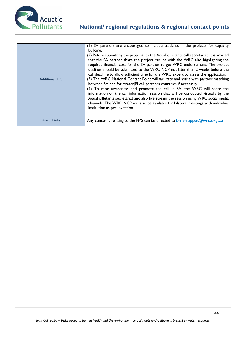

| <b>Additional Info</b> | (1) SA partners are encouraged to include students in the projects for capacity<br>building.<br>(2) Before submitting the proposal to the AquaPolllutants call secretariat, it is advised<br>that the SA partner share the project outline with the WRC also highlighting the<br>required financial cost for the SA partner to get WRC endorsement. The project<br>outlines should be submitted to the WRC NCP not later than 2 weeks before the<br>call deadline to allow sufficient time for the WRC expert to assess the application.<br>(3) The WRC National Contact Point will facilitate and assist with partner matching<br>between SA and for WaterJPI call partners countries if necessary.<br>(4) To raise awareness and promote the call in SA, the WRC will share the<br>information on the call information session that will be conducted virtually by the<br>AquaPolllutants secretariat and also live stream the session using WRC social media<br>channels. The WRC NCP will also be available for bilateral meetings with individual<br>institution as per invitation. |
|------------------------|------------------------------------------------------------------------------------------------------------------------------------------------------------------------------------------------------------------------------------------------------------------------------------------------------------------------------------------------------------------------------------------------------------------------------------------------------------------------------------------------------------------------------------------------------------------------------------------------------------------------------------------------------------------------------------------------------------------------------------------------------------------------------------------------------------------------------------------------------------------------------------------------------------------------------------------------------------------------------------------------------------------------------------------------------------------------------------------|
| <b>Useful Links</b>    | Any concerns relating to the FMS can be directed to <b>bms-suppot@wrc.org.za</b>                                                                                                                                                                                                                                                                                                                                                                                                                                                                                                                                                                                                                                                                                                                                                                                                                                                                                                                                                                                                         |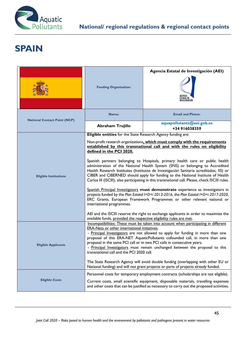

# **SPAIN**

|                                     | <b>Funding Organisation:</b>                                                                                                                                                                                                                                                                                                                                                                                                                                                                                                      | Agencia Estatal de Investigación (AEI)<br>ESTATAL DE<br>INVESTIGACIÓN |
|-------------------------------------|-----------------------------------------------------------------------------------------------------------------------------------------------------------------------------------------------------------------------------------------------------------------------------------------------------------------------------------------------------------------------------------------------------------------------------------------------------------------------------------------------------------------------------------|-----------------------------------------------------------------------|
| <b>National Contact Point (NCP)</b> | Name:                                                                                                                                                                                                                                                                                                                                                                                                                                                                                                                             | <b>Email and Phone:</b>                                               |
|                                     | <b>Abraham Trujillo</b>                                                                                                                                                                                                                                                                                                                                                                                                                                                                                                           | aquapollutants@aei.gob.es<br>+34 916038359                            |
|                                     | Eligible entities for the State Research Agency funding are:<br>Non-profit research organizations, which must comply with the requirements<br>established by this transnational call and with the rules on eligibility<br>defined in the PCI 2020.                                                                                                                                                                                                                                                                                |                                                                       |
| <b>Eligible Institutions</b>        | Spanish partners belonging to Hospitals, primary health care or public health<br>administration of the National Health System (SNS) or belonging to Accredited<br>Health Research Institutes (Institutos de Investigación Sanitaria acreditados, IIS) or<br>CIBER and CIBERNED should apply for funding to the National Institute of Health<br>Carlos III (ISCIII), also participating in this transnational call. Please, check ISCIII rules.<br>Spanish Principal Investigators must demonstrate experience as investigators in |                                                                       |
|                                     | projects funded by the Plan Estatal I+D+i 2013-2016, the Plan Estatal I+D+i 2017-2020,<br>ERC Grants, European Framework Programmes or other relevant national or<br>international programmes.<br>AEI and the ISCIII reserve the right to exchange applicants in order to maximize the                                                                                                                                                                                                                                            |                                                                       |
|                                     | available funds, provided the respective eligibility rules are met.                                                                                                                                                                                                                                                                                                                                                                                                                                                               |                                                                       |
| <b>Eligible Applicants</b>          | Incompatibilities: These must be taken into account when participating in different<br><b>ERA-Nets or other international initiatives.</b><br>- Principal Investigators are not allowed to apply for funding in more than one<br>proposal of this ERA-NET AquaticPollutants cofounded call, in more than one<br>proposal in the same PCI call or in two PCI calls in consecutive years.<br>- Principal Investigators must remain unchanged between the proposal to this<br>transnational call and the PCI 2020 call.              |                                                                       |
|                                     | The State Research Agency will avoid double funding (overlapping with other EU or<br>National funding) and will not grant projects or parts of projects already funded.                                                                                                                                                                                                                                                                                                                                                           |                                                                       |
| <b>Eligible Costs</b>               | Personnel costs for temporary employment contracts (scholarships are not eligible).<br>Current costs, small scientific equipment, disposable materials, travelling expenses<br>and other costs that can be justified as necessary to carry out the proposed activities.                                                                                                                                                                                                                                                           |                                                                       |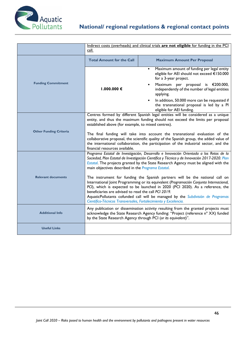

|                               | call.                                                                                                                                                                                                                                                                                                                                                                                                                                                                                                                          | Indirect costs (overheads) and clinical trials are not eligible for funding in the PCI                                                                                                                                                   |
|-------------------------------|--------------------------------------------------------------------------------------------------------------------------------------------------------------------------------------------------------------------------------------------------------------------------------------------------------------------------------------------------------------------------------------------------------------------------------------------------------------------------------------------------------------------------------|------------------------------------------------------------------------------------------------------------------------------------------------------------------------------------------------------------------------------------------|
|                               | <b>Total Amount for the Call</b>                                                                                                                                                                                                                                                                                                                                                                                                                                                                                               | <b>Maximum Amount Per Proposal</b>                                                                                                                                                                                                       |
| <b>Funding Commitment</b>     |                                                                                                                                                                                                                                                                                                                                                                                                                                                                                                                                | Maximum amount of funding per legal entity<br>٠<br>eligible for AEI should not exceed €150.000<br>for a 3-year project.                                                                                                                  |
|                               | 1.000.000 €                                                                                                                                                                                                                                                                                                                                                                                                                                                                                                                    | Maximum per proposal is €200.000,<br>independently of the number of legal entities<br>applying.                                                                                                                                          |
|                               |                                                                                                                                                                                                                                                                                                                                                                                                                                                                                                                                | In addition, 50.000 more can be requested if<br>the transnational proposal is led by a PI<br>eligible for AEI funding.                                                                                                                   |
|                               | Centres formed by different Spanish legal entities will be considered as a unique<br>entity, and thus the maximum funding should not exceed the limits per proposal<br>established above (for example, to mixed centres).<br>The final funding will take into account the transnational evaluation of the<br>collaborative proposal, the scientific quality of the Spanish group, the added value of<br>the international collaboration, the participation of the industrial sector, and the<br>financial resources available. |                                                                                                                                                                                                                                          |
| <b>Other Funding Criteria</b> |                                                                                                                                                                                                                                                                                                                                                                                                                                                                                                                                |                                                                                                                                                                                                                                          |
|                               | Programa Estatal de Investigación, Desarrollo e Innovación Orientada a los Retos de la<br>Sociedad, Plan Estatal de Investigación Científica y Técnica y de Innovación 2017-2020. Plan<br>Estatal. The projects granted by the State Research Agency must be aligned with the<br>main objectives described in the Programa Estatal.                                                                                                                                                                                            |                                                                                                                                                                                                                                          |
| <b>Relevant documents</b>     | The instrument for funding the Spanish partners will be the national call on<br>International Joint Programming or its equivalent (Programación Conjunta Internacional,<br>PCI), which is expected to be launched in 2020 (PCI 2020). As a reference, the<br>beneficiaries are advised to read the call PCI 2019.<br>AquaticPollutants cofunded call will be managed by the Subdivisión de Programas<br>Científico-Técnicos Transversales, Fortalecimiento y Excelencia.                                                       |                                                                                                                                                                                                                                          |
| <b>Additional Info</b>        |                                                                                                                                                                                                                                                                                                                                                                                                                                                                                                                                | Any publication or dissemination activity resulting from the granted projects must<br>acknowledge the State Research Agency funding: "Project (reference n° XX) funded<br>by the State Research Agency through PCI (or its equivalent)". |
| <b>Useful Links</b>           |                                                                                                                                                                                                                                                                                                                                                                                                                                                                                                                                |                                                                                                                                                                                                                                          |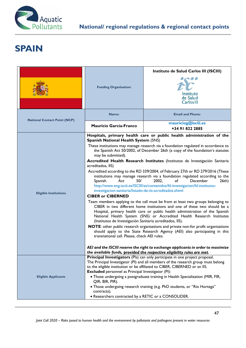

# **SPAIN**

|                                     | <b>Funding Organisation:</b><br>Name:                                                                                                                                                                                                                                                                                                                                                                                                                                                                                                                                                                                                                                                                                                                                                                                                                                                                                                                                                                                                                                                                                                                                                                                                                                                                                                                                                                                                                                                                                                                                                                     | Instituto de Salud Carlos III (ISCIII)<br>Instituto<br>de Salud<br>Carlos III<br><b>Email and Phone:</b>                                                                                                                                                                                                                                                                                                      |
|-------------------------------------|-----------------------------------------------------------------------------------------------------------------------------------------------------------------------------------------------------------------------------------------------------------------------------------------------------------------------------------------------------------------------------------------------------------------------------------------------------------------------------------------------------------------------------------------------------------------------------------------------------------------------------------------------------------------------------------------------------------------------------------------------------------------------------------------------------------------------------------------------------------------------------------------------------------------------------------------------------------------------------------------------------------------------------------------------------------------------------------------------------------------------------------------------------------------------------------------------------------------------------------------------------------------------------------------------------------------------------------------------------------------------------------------------------------------------------------------------------------------------------------------------------------------------------------------------------------------------------------------------------------|---------------------------------------------------------------------------------------------------------------------------------------------------------------------------------------------------------------------------------------------------------------------------------------------------------------------------------------------------------------------------------------------------------------|
| <b>National Contact Point (NCP)</b> | Mauricio García-Franco                                                                                                                                                                                                                                                                                                                                                                                                                                                                                                                                                                                                                                                                                                                                                                                                                                                                                                                                                                                                                                                                                                                                                                                                                                                                                                                                                                                                                                                                                                                                                                                    | mauriciog@isciii.es<br>+34 91 822 2885                                                                                                                                                                                                                                                                                                                                                                        |
| <b>Eligible Institutions</b>        | Hospitals, primary health care or public health administration of the<br><b>Spanish National Health System (SNS)</b><br>These institutions may manage research via a foundation regulated in accordance to<br>the Spanish Act 50/2002, of December 26th (a copy of the foundation's statutes<br>may be submitted).<br>Accredited Health Research Institutes (Institutos de Investigación Sanitaria<br>acreditados, IIS)<br>Accredited according to the RD 339/2004, of February 27th or RD 279/2016 (These<br>institutions may manage research via a foundation regulated according to the<br>Act<br>50/<br>2002.<br>of<br>December<br>Spanish<br>26th)<br>http://www.eng.isciii.es/ISCIII/es/contenidos/fd-investigacion/fd-institutos-<br>investigacion-sanitaria/listado-de-iis-acreditados.shtml<br><b>CIBER or CIBERNED</b><br>Team members applying to the call must be from at least two groups belonging to<br>CIBER in two different home institutions and one of these two should be a<br>Hospital, primary health care or public health administration of the Spanish<br>National Health System (SNS) or Accredited Health Research Institutes<br>(Institutos de Investigación Sanitaria acreditados, IIS).<br>NOTE: other public research organisations and private non-for profit organisations<br>should apply to the State Research Agency (AEI) also participating in this<br>transnational call. Please, check AEI rules.<br>AEI and the ISCIII reserve the right to exchange applicants in order to maximize<br>the available funds, provided the respective eligibility rules are met. |                                                                                                                                                                                                                                                                                                                                                                                                               |
| <b>Eligible Applicants</b>          | <b>Excluded</b> personnel as Principal Investigator (PI):<br>QIR, BIR, PIR).<br>contracts).<br>• Researchers contracted by a RETIC or a CONSOLIDER.                                                                                                                                                                                                                                                                                                                                                                                                                                                                                                                                                                                                                                                                                                                                                                                                                                                                                                                                                                                                                                                                                                                                                                                                                                                                                                                                                                                                                                                       | Principal Investigators (Pls) can only participate in one project proposal.<br>The Principal Investigator (PI) and all members of the research group must belong<br>to the eligible institution or be affiliated to CIBER, CIBERNED or an IIS.<br>. Those undergoing a postgraduate training in Health Specialization (MIR, FIR,<br>• Those undergoing research training (e.g. PhD students, or "Río Hortega" |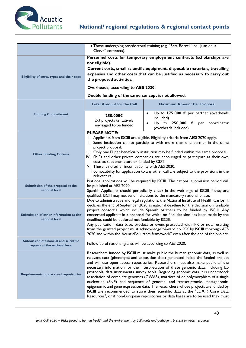

|                                                                         | Cierva" contracts).                                                                                                                                             | · Those undergoing postdoctoral training (e.g. "Sara Borrell" or "Juan de la                                                                                                                                                                                                                                                                                                                                                                                                                                                                                                                                                                                                                                                                                                                                                                                      |
|-------------------------------------------------------------------------|-----------------------------------------------------------------------------------------------------------------------------------------------------------------|-------------------------------------------------------------------------------------------------------------------------------------------------------------------------------------------------------------------------------------------------------------------------------------------------------------------------------------------------------------------------------------------------------------------------------------------------------------------------------------------------------------------------------------------------------------------------------------------------------------------------------------------------------------------------------------------------------------------------------------------------------------------------------------------------------------------------------------------------------------------|
| Eligibility of costs, types and their caps                              | not eligible).<br>the proposed activities.<br>Overheads, according to AES 2020.<br>Double funding of the same concept is not allowed.                           | Personnel costs for temporary employment contracts (scholarships are<br>Current costs, small scientific equipment, disposable materials, travelling<br>expenses and other costs that can be justified as necessary to carry out                                                                                                                                                                                                                                                                                                                                                                                                                                                                                                                                                                                                                                   |
|                                                                         | <b>Total Amount for the Call</b>                                                                                                                                | <b>Maximum Amount Per Proposal</b>                                                                                                                                                                                                                                                                                                                                                                                                                                                                                                                                                                                                                                                                                                                                                                                                                                |
| <b>Funding Commitment</b>                                               | 250.000€<br>2-3 projects tentatively<br>envisaged to be funded                                                                                                  | Up to 175,000 $\epsilon$ per partner (overheads<br>$\bullet$<br>included)<br>$Up$ to $250,000$<br>coordinator<br>€<br>per<br>$\bullet$<br>(overheads included)                                                                                                                                                                                                                                                                                                                                                                                                                                                                                                                                                                                                                                                                                                    |
| <b>Other Funding Criteria</b>                                           | <b>PLEASE NOTE:</b><br>project proposal.<br>cost, as subcontractors or funded by CDTI.<br>V. There is no other incompatibility with AES 2020.<br>relevant call. | I. Applicants from ISCIII are eligible. Eligibility criteria from AESI 2020 apply.<br>II. Same institution cannot participate with more than one partner in the same<br>III. Only one PI per beneficiary institution may be funded within the same proposal.<br>IV. SMEs and other private companies are encouraged to participate at their own<br>Incompatibility for application to any other call are subject to the provisions in the                                                                                                                                                                                                                                                                                                                                                                                                                         |
| Submission of the proposal at the<br>national level                     | be published at AES 2020.                                                                                                                                       | National applications will be required by ISCIII. The national submission period will<br>Spanish Applicants should periodically check in the web page of ISCIII if they are<br>qualified. ISCIII may not send invitations to the mandatory national phase.                                                                                                                                                                                                                                                                                                                                                                                                                                                                                                                                                                                                        |
| Submission of other information at the<br>national level                | deadline, could be declared not fundable by ISCIII.                                                                                                             | Due to administrative and legal regulations, the National Institute of Health Carlos III<br>declares the end of September 2020 as national deadline for the decision on fundable<br>project consortia which include Spanish partners to be funded by ISCIII. Any<br>concerned applicant in a proposal for which no final decision has been made by the<br>Any publication, data base, product or event protected with IPR or not, resulting<br>from the granted project must acknowledge "Award no. XX by ISCIII thorough AES<br>2020 and within the AquaticPollutants framework" even after the end of the project.                                                                                                                                                                                                                                              |
| Submission of financial and scientific<br>reports at the national level | Follow up of national grants will be according to AES 2020.                                                                                                     |                                                                                                                                                                                                                                                                                                                                                                                                                                                                                                                                                                                                                                                                                                                                                                                                                                                                   |
| <b>Requirements on data and repositories</b>                            |                                                                                                                                                                 | Researchers funded by ISCIII must make public the human genomic data, as well as<br>relevant data (phenotype and exposition data) generated inside the funded project<br>and will use open access repositories. Researchers must also make public all the<br>necessary information for the interpretation of these genomic data, including lab<br>protocols, data instruments survey tools. Regarding genomic data it is understood:<br>association of complete genomes (GWAS), matrixes of de polymorphism of a single<br>nucleotide (SNP) and sequence of genome, and transcriptomic, metagenomic,<br>epigenomic and gene expression data. The researchers whose projects are funded by<br>ISCIII are recommended to store their scientific data at the "ELIXIR Core Data<br>Resources", or if non-European repositories or data bases are to be used they must |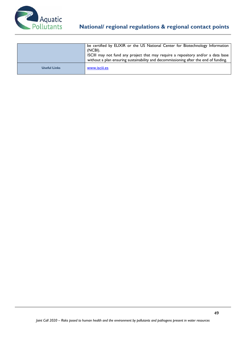

|                     | be certified by ELIXIR or the US National Center for Biotechnology Information<br>(NCBI).<br>ISCIII may not fund any project that may require a repository and/or a data base<br>without a plan ensuring sustainability and decommissioning after the end of funding. |
|---------------------|-----------------------------------------------------------------------------------------------------------------------------------------------------------------------------------------------------------------------------------------------------------------------|
| <b>Useful Links</b> | www.isciii.es                                                                                                                                                                                                                                                         |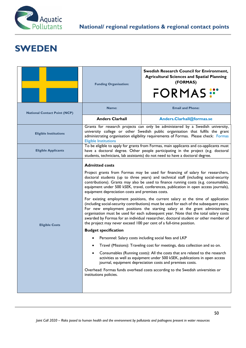

# **SWEDEN**

|                                     | <b>Funding Organisation:</b>                                                                                                                                                                                                                                                                                                                                                                                                                                                                                                                                                                                                                                                                                                                                                                                                                                                                                                                                                                                                                                                                                                                                                                                                                                                                                                                                                                                                                                                                                                                           | <b>Swedish Research Council for Environment,</b><br><b>Agricultural Sciences and Spatial Planning</b><br>(FORMAS)<br>FORMAS:"                                                                                                                            |
|-------------------------------------|--------------------------------------------------------------------------------------------------------------------------------------------------------------------------------------------------------------------------------------------------------------------------------------------------------------------------------------------------------------------------------------------------------------------------------------------------------------------------------------------------------------------------------------------------------------------------------------------------------------------------------------------------------------------------------------------------------------------------------------------------------------------------------------------------------------------------------------------------------------------------------------------------------------------------------------------------------------------------------------------------------------------------------------------------------------------------------------------------------------------------------------------------------------------------------------------------------------------------------------------------------------------------------------------------------------------------------------------------------------------------------------------------------------------------------------------------------------------------------------------------------------------------------------------------------|----------------------------------------------------------------------------------------------------------------------------------------------------------------------------------------------------------------------------------------------------------|
| <b>National Contact Point (NCP)</b> | Name:                                                                                                                                                                                                                                                                                                                                                                                                                                                                                                                                                                                                                                                                                                                                                                                                                                                                                                                                                                                                                                                                                                                                                                                                                                                                                                                                                                                                                                                                                                                                                  | <b>Email and Phone:</b>                                                                                                                                                                                                                                  |
|                                     | <b>Anders Clarhall</b>                                                                                                                                                                                                                                                                                                                                                                                                                                                                                                                                                                                                                                                                                                                                                                                                                                                                                                                                                                                                                                                                                                                                                                                                                                                                                                                                                                                                                                                                                                                                 | Anders.Clarhall@formas.se                                                                                                                                                                                                                                |
| <b>Eligible Institutions</b>        | <b>Eligible Institutions</b>                                                                                                                                                                                                                                                                                                                                                                                                                                                                                                                                                                                                                                                                                                                                                                                                                                                                                                                                                                                                                                                                                                                                                                                                                                                                                                                                                                                                                                                                                                                           | Grants for research projects can only be administered by a Swedish university,<br>university college or other Swedish public organisation that fulfils the grant<br>administrating organisation eligibility requirements of Formas. Please check: Formas |
| <b>Eligible Applicants</b>          | To be eligible to apply for grants from Formas, main applicants and co-applicants must<br>have a doctoral degree. Other people participating in the project (e.g. doctoral                                                                                                                                                                                                                                                                                                                                                                                                                                                                                                                                                                                                                                                                                                                                                                                                                                                                                                                                                                                                                                                                                                                                                                                                                                                                                                                                                                             |                                                                                                                                                                                                                                                          |
| <b>Eligible Costs</b>               | students, technicians, lab assistants) do not need to have a doctoral degree.<br><b>Admitted costs</b><br>Project grants from Formas may be used for financing of salary for researchers,<br>doctoral students (up to three years) and technical staff (including social-security<br>contributions). Grants may also be used to finance running costs (e.g. consumables,<br>equipment under 500 kSEK, travel, conferences, publication in open access journals),<br>equipment depreciation costs and premises costs.<br>For existing employment positions, the current salary at the time of application<br>(including social-security contributions) must be used for each of the subsequent years.<br>For new employment positions the starting salary at the grant administrating<br>organisation must be used for each subsequent year. Note that the total salary costs<br>awarded by Formas for an individual researcher, doctoral student or other member of<br>the project may never exceed 100 per cent of a full-time position.<br><b>Budget specification</b><br>Personnel: Salary costs including social fees and LKP<br>Travel (Missions): Traveling cost for meetings, data collection and so on.<br>Consumables (Running costs): All the costs that are related to the research<br>activities as well as equipment under 500 kSEK, publications in open access<br>journal, equipment depreciation costs and premises costs.<br>Overhead: Formas funds overhead costs according to the Swedish universities or<br>institutions policies. |                                                                                                                                                                                                                                                          |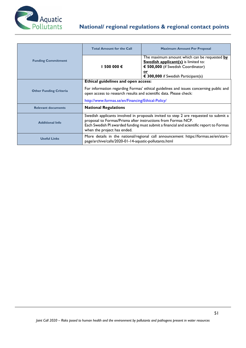

|                               | <b>Total Amount for the Call</b>                                                                                                                            | <b>Maximum Amount Per Proposal</b>                                                                                                                                                   |
|-------------------------------|-------------------------------------------------------------------------------------------------------------------------------------------------------------|--------------------------------------------------------------------------------------------------------------------------------------------------------------------------------------|
| <b>Funding Commitment</b>     | 1 500 000 €                                                                                                                                                 | The maximum amount which can be requested by<br><b>Swedish applicant(s)</b> is limited to:<br>€ 500,000 (if Swedish Coordinator)<br><u>or</u><br>€ 300,000 if Swedish Participant(s) |
|                               | Ethical guidelines and open access:                                                                                                                         |                                                                                                                                                                                      |
| <b>Other Funding Criteria</b> | For information regarding Formas' ethical guidelines and issues concerning public and<br>open access to research results and scientific data. Please check: |                                                                                                                                                                                      |
|                               | http://www.formas.se/en/Financing/Ethical-Policy/                                                                                                           |                                                                                                                                                                                      |
| <b>Relevant documents</b>     | <b>National Regulations</b>                                                                                                                                 |                                                                                                                                                                                      |
| <b>Additional Info</b>        | proposal to Formas/Prisma after instructions from Formas NCP.<br>when the project has ended.                                                                | Swedish applicants involved in proposals invited to step 2 are requested to submit a<br>Each Swedish PI awarded funding must submit a financial and scientific report to Formas      |
| <b>Useful Links</b>           | page/archive/calls/2020-01-14-aquatic-pollutants.html                                                                                                       | More details in the national/regional call announcement https://formas.se/en/start-                                                                                                  |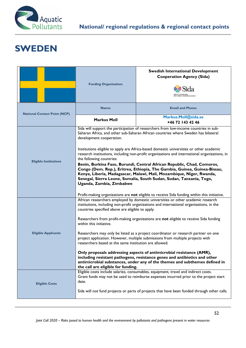

# **SWEDEN**

|                                     | <b>Funding Organisation:</b>                                                                                                                                                                                                                                                                                                                                                                                                                                                                                                                                                                                                                                                                                                                                                                                                                                    | <b>Swedish International Development</b><br><b>Cooperation Agency (Sida)</b>                                                                                                                                                                                                |
|-------------------------------------|-----------------------------------------------------------------------------------------------------------------------------------------------------------------------------------------------------------------------------------------------------------------------------------------------------------------------------------------------------------------------------------------------------------------------------------------------------------------------------------------------------------------------------------------------------------------------------------------------------------------------------------------------------------------------------------------------------------------------------------------------------------------------------------------------------------------------------------------------------------------|-----------------------------------------------------------------------------------------------------------------------------------------------------------------------------------------------------------------------------------------------------------------------------|
| <b>National Contact Point (NCP)</b> | Name:                                                                                                                                                                                                                                                                                                                                                                                                                                                                                                                                                                                                                                                                                                                                                                                                                                                           | <b>Email and Phone:</b>                                                                                                                                                                                                                                                     |
|                                     | <b>Markus Moll</b>                                                                                                                                                                                                                                                                                                                                                                                                                                                                                                                                                                                                                                                                                                                                                                                                                                              | Markus.Moll@sida.se<br>+46 72 143 42 46                                                                                                                                                                                                                                     |
|                                     | development cooperation.                                                                                                                                                                                                                                                                                                                                                                                                                                                                                                                                                                                                                                                                                                                                                                                                                                        | Sida will support the participation of researchers from low-income countries in sub-<br>Saharan Africa, and other sub-Saharan African countries where Sweden has bilateral<br>Institutions eligible to apply are Africa-based domestic universities or other academic       |
| <b>Eligible Institutions</b>        | research institutions, including non-profit organizations and international organizations, in<br>the following countries:<br>Benin, Burkina Faso, Burundi, Central African Republic, Chad, Comoros,<br>Congo (Dem. Rep.), Eritrea, Ethiopia, The Gambia, Guinea, Guinea-Bissau,<br>Kenya, Liberia, Madagascar, Malawi, Mali, Mozambique, Niger, Rwanda,<br>Senegal, Sierra Leone, Somalia, South Sudan, Sudan, Tanzania, Togo,<br>Uganda, Zambia, Zimbabwe<br>Profit-making organizations are not eligible to receive Sida funding within this initiative.                                                                                                                                                                                                                                                                                                      |                                                                                                                                                                                                                                                                             |
| <b>Eligible Applicants</b>          | African researchers employed by domestic universities or other academic research<br>institutions, including non-profit organizations and international organizations, in the<br>countries specified above are eligible to apply.<br>Researchers from profit-making organizations are not eligible to receive Sida funding<br>within this initiative.<br>Researchers may only be listed as a project coordinator or research partner on one<br>project application. However, multiple submissions from multiple projects with<br>researchers based at the same institution are allowed.<br>Only proposals addressing aspects of antimicrobial resistance (AMR),<br>including resistant pathogens, resistance genes and antibiotics and other<br>antimicrobial substances, under any of the themes and subthemes defined in<br>the call are eligible for funding. |                                                                                                                                                                                                                                                                             |
| <b>Eligible Costs</b>               | date.                                                                                                                                                                                                                                                                                                                                                                                                                                                                                                                                                                                                                                                                                                                                                                                                                                                           | Eligible costs include salaries, consumables, equipment, travel and indirect costs.<br>Grant funds may not be used to reimburse expenses incurred prior to the project start<br>Sida will not fund projects or parts of projects that have been funded through other calls. |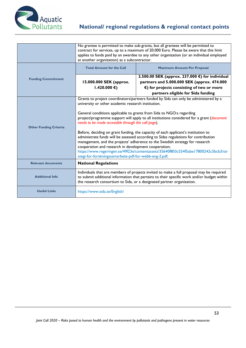

|                               | No grantee is permitted to make sub-grants, but all grantees will be permitted to<br>contract for services, up to a maximum of 20.000 Euro. Please be aware that this limit<br>applies to funds paid by an awardee to any other organization (or an individual employed<br>at another organization) as a subcontractor.                                                                                                                                                                                                                                                                                                                                                                                                                                                                                                                     |                                                                                                                                                                                                                                                                  |
|-------------------------------|---------------------------------------------------------------------------------------------------------------------------------------------------------------------------------------------------------------------------------------------------------------------------------------------------------------------------------------------------------------------------------------------------------------------------------------------------------------------------------------------------------------------------------------------------------------------------------------------------------------------------------------------------------------------------------------------------------------------------------------------------------------------------------------------------------------------------------------------|------------------------------------------------------------------------------------------------------------------------------------------------------------------------------------------------------------------------------------------------------------------|
|                               | <b>Total Amount for the Call</b>                                                                                                                                                                                                                                                                                                                                                                                                                                                                                                                                                                                                                                                                                                                                                                                                            | <b>Maximum Amount Per Proposal</b>                                                                                                                                                                                                                               |
| <b>Funding Commitment</b>     | 15.000.000 SEK (approx.<br>1.420.000 €)                                                                                                                                                                                                                                                                                                                                                                                                                                                                                                                                                                                                                                                                                                                                                                                                     | 2.500.00 SEK (approx. 237.000 €) for individual<br>partners and 5.000.000 SEK (approx. 474.000<br>$\epsilon$ ) for projects consisting of two or more<br>partners eligible for Sida funding                                                                      |
| <b>Other Funding Criteria</b> | Grants to project coordinators/partners funded by Sida can only be administered by a<br>university or other academic research institution.<br>General conditions applicable to grants from Sida to NGO:s regarding<br>project/programme support will apply to all institutions considered for a grant (document<br>needs to be made accessible through the call page).<br>Before, deciding on grant funding, the capacity of each applicant's institution to<br>administrate funds will be assessed according to Sidas regulations for contribution<br>management, and the projects' adherence to the Swedish strategy for research<br>cooperation and research in development cooperation;<br>https://www.regeringen.se/49f23e/contentassets/35640f803c554f5abe17800242c5bcb3/str<br>ategi-for-forskningssamarbete-pdf-for-webb-eng-2.pdf. |                                                                                                                                                                                                                                                                  |
| <b>Relevant documents</b>     | <b>National Regulations</b>                                                                                                                                                                                                                                                                                                                                                                                                                                                                                                                                                                                                                                                                                                                                                                                                                 |                                                                                                                                                                                                                                                                  |
| <b>Additional Info</b>        |                                                                                                                                                                                                                                                                                                                                                                                                                                                                                                                                                                                                                                                                                                                                                                                                                                             | Individuals that are members of projects invited to make a full proposal may be required<br>to submit additional information that pertains to their specific work and/or budget within<br>the research consortium to Sida, or a designated partner organization. |
| <b>Useful Links</b>           | https://www.sida.se/English/                                                                                                                                                                                                                                                                                                                                                                                                                                                                                                                                                                                                                                                                                                                                                                                                                |                                                                                                                                                                                                                                                                  |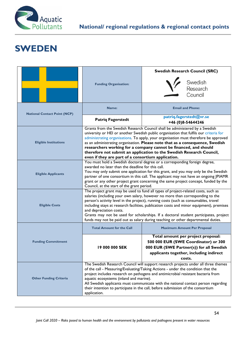

# **SWEDEN**

|                                     |                                                                                                                                                                             | <b>Swedish Research Council (SRC)</b>                                                                                                                                          |
|-------------------------------------|-----------------------------------------------------------------------------------------------------------------------------------------------------------------------------|--------------------------------------------------------------------------------------------------------------------------------------------------------------------------------|
|                                     | <b>Funding Organisation:</b>                                                                                                                                                | Swedish<br>Research                                                                                                                                                            |
|                                     |                                                                                                                                                                             |                                                                                                                                                                                |
|                                     |                                                                                                                                                                             | Council                                                                                                                                                                        |
| <b>National Contact Point (NCP)</b> | Name:                                                                                                                                                                       | <b>Email and Phone:</b>                                                                                                                                                        |
|                                     | <b>Patriq Fagerstedt</b>                                                                                                                                                    | patriq.fagerstedt@vr.se<br>+46 (0)8-54644246                                                                                                                                   |
|                                     |                                                                                                                                                                             | Grants from the Swedish Research Council shall be administered by a Swedish                                                                                                    |
|                                     |                                                                                                                                                                             | university or HEI or another Swedish public organisation that fulfils our criteria for<br>administrating organisations. To apply, your organisation must therefore be approved |
| <b>Eligible Institutions</b>        |                                                                                                                                                                             | as an administrating organisation. Please note that as a consequence, Swedish                                                                                                  |
|                                     |                                                                                                                                                                             | researchers working for a company cannot be financed, and should                                                                                                               |
|                                     | even if they are part of a consortium application.                                                                                                                          | therefore not submit an application to the Swedish Research Council,                                                                                                           |
|                                     |                                                                                                                                                                             | You must hold a Swedish doctoral degree or a corresponding foreign degree,                                                                                                     |
|                                     | awarded no later than the deadline for this call.                                                                                                                           |                                                                                                                                                                                |
| <b>Eligible Applicants</b>          | You may only submit one application for this grant, and you may only be the Swedish                                                                                         |                                                                                                                                                                                |
|                                     | partner of one consortium in this call. The applicant may not have an ongoing JPIAMR<br>grant or any other project grant concerning the same project concept, funded by the |                                                                                                                                                                                |
|                                     | Council, at the start of the grant period.                                                                                                                                  |                                                                                                                                                                                |
|                                     | The project grant may be used to fund all types of project-related costs, such as                                                                                           |                                                                                                                                                                                |
|                                     | salaries (including your own salary, however no more than corresponding to the<br>person's activity level in the project), running costs (such as consumables, travel       |                                                                                                                                                                                |
| <b>Eligible Costs</b>               | including stays at research facilities, publication costs and minor equipment), premises                                                                                    |                                                                                                                                                                                |
|                                     | and depreciation costs.<br>Grants may not be used for scholarships. If a doctoral student participates, project                                                             |                                                                                                                                                                                |
|                                     | funds may not be paid out as salary during teaching or other departmental duties.                                                                                           |                                                                                                                                                                                |
|                                     | <b>Total Amount for the Call</b>                                                                                                                                            | <b>Maximum Amount Per Proposal</b>                                                                                                                                             |
|                                     |                                                                                                                                                                             | Total amount per project proposal:                                                                                                                                             |
| <b>Funding Commitment</b>           |                                                                                                                                                                             | 500 000 EUR (SWE Coordinator) or 300                                                                                                                                           |
|                                     | 19 000 000 SEK                                                                                                                                                              | 000 EUR (SWE Partner(s)) for all Swedish<br>applicants together, including indirect                                                                                            |
|                                     |                                                                                                                                                                             | costs.                                                                                                                                                                         |
|                                     |                                                                                                                                                                             | The Swedish Research Council will support research projects under all three themes                                                                                             |
|                                     | of the call - Measuring/Evaluating/Taking Actions - under the condition that the                                                                                            |                                                                                                                                                                                |
| <b>Other Funding Criteria</b>       | project includes research on pathogens and antimicrobial resistant bacteria from<br>aquatic ecosystems (inland and marine).                                                 |                                                                                                                                                                                |
|                                     | All Swedish applicants must communicate with the national contact person regarding                                                                                          |                                                                                                                                                                                |
|                                     | their intention to participate in the call, before submission of the consortium                                                                                             |                                                                                                                                                                                |
|                                     | application.                                                                                                                                                                |                                                                                                                                                                                |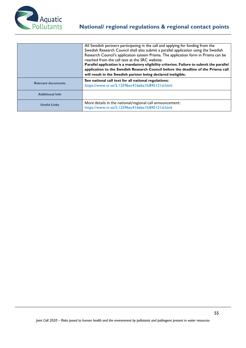

|                           | All Swedish partners participating in the call and applying for funding from the<br>Swedish Research Council shall also submit a parallel application using the Swedish<br>Research Council's application system Prisma. The application form in Prisma can be<br>reached from the call text at the SRC website.<br>Parallel application is a mandatory eligibility criterion. Failure to submit the parallel<br>application to the Swedish Research Council before the deadline of the Prisma call<br>will result in the Swedish partner being declared ineligible. |
|---------------------------|----------------------------------------------------------------------------------------------------------------------------------------------------------------------------------------------------------------------------------------------------------------------------------------------------------------------------------------------------------------------------------------------------------------------------------------------------------------------------------------------------------------------------------------------------------------------|
| <b>Relevant documents</b> | See national call text for all national regulations:<br>https://www.vr.se/5.12596ec416eba1fc845121d.html                                                                                                                                                                                                                                                                                                                                                                                                                                                             |
| <b>Additional Info</b>    |                                                                                                                                                                                                                                                                                                                                                                                                                                                                                                                                                                      |
| <b>Useful Links</b>       | More details in the national/regional call announcement:<br>https://www.vr.se/5.12596ec416eba1fc845121d.html                                                                                                                                                                                                                                                                                                                                                                                                                                                         |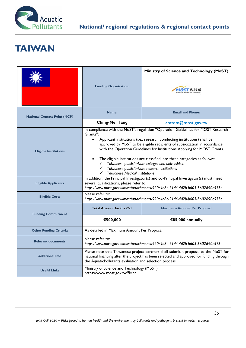

### **TAIWAN**

|                                     | <b>Funding Organisation:</b>                                                                                                                                                                                                              | Ministry of Science and Technology (MoST)<br>M05T 科技部                                                                                                                                                                                                                                                                                                                                                                                                                                                        |
|-------------------------------------|-------------------------------------------------------------------------------------------------------------------------------------------------------------------------------------------------------------------------------------------|--------------------------------------------------------------------------------------------------------------------------------------------------------------------------------------------------------------------------------------------------------------------------------------------------------------------------------------------------------------------------------------------------------------------------------------------------------------------------------------------------------------|
| <b>National Contact Point (NCP)</b> | Name:                                                                                                                                                                                                                                     | <b>Email and Phone:</b>                                                                                                                                                                                                                                                                                                                                                                                                                                                                                      |
|                                     | Ching-Mei Tang                                                                                                                                                                                                                            | cmtom@most.gov.tw                                                                                                                                                                                                                                                                                                                                                                                                                                                                                            |
| <b>Eligible Institutions</b>        | Grants":<br>$\bullet$<br>$\checkmark$<br><b>Taiwanese Medical institutions</b><br>✓                                                                                                                                                       | In compliance with the MoST's regulation "Operation Guidelines for MOST Research<br>Applicant institutions (i.e., research conducting institutions) shall be<br>approved by MoST to be eligible recipients of subsidization in accordance<br>with the Operation Guidelines for Institutions Applying for MOST Grants.<br>The eligible institutions are classified into three categories as follows:<br>Taiwanese public/private colleges and universities.<br>Taiwanese public/private research institutions |
| <b>Eligible Applicants</b>          | In addition, the Principal Investigator(s) and co-Principal Investigator(s) must meet<br>several qualifications, please refer to:<br>https://www.most.gov.tw/most/attachments/920c4b8e-21d4-4d2b-b603-5602690c575e                        |                                                                                                                                                                                                                                                                                                                                                                                                                                                                                                              |
| <b>Eligible Costs</b>               | please refer to:<br>https://www.most.gov.tw/most/attachments/920c4b8e-21d4-4d2b-b603-5602690c575e                                                                                                                                         |                                                                                                                                                                                                                                                                                                                                                                                                                                                                                                              |
| <b>Funding Commitment</b>           | <b>Total Amount for the Call</b>                                                                                                                                                                                                          | <b>Maximum Amount Per Proposal</b>                                                                                                                                                                                                                                                                                                                                                                                                                                                                           |
|                                     | €500,000                                                                                                                                                                                                                                  | €85,000 annually                                                                                                                                                                                                                                                                                                                                                                                                                                                                                             |
| <b>Other Funding Criteria</b>       | As detailed in Maximum Amount Per Proposal                                                                                                                                                                                                |                                                                                                                                                                                                                                                                                                                                                                                                                                                                                                              |
| <b>Relevant documents</b>           | please refer to:<br>https://www.most.gov.tw/most/attachments/920c4b8e-21d4-4d2b-b603-5602690c575e                                                                                                                                         |                                                                                                                                                                                                                                                                                                                                                                                                                                                                                                              |
| <b>Additional Info</b>              | Please note that Taiwanese project partners shall submit a proposal to the MoST for<br>national financing after the project has been selected and approved for funding through<br>the AquaticPollutants evaluation and selection process. |                                                                                                                                                                                                                                                                                                                                                                                                                                                                                                              |
| <b>Useful Links</b>                 | Ministry of Science and Technology (MoST)<br>https://www.most.gov.tw/?l=en                                                                                                                                                                |                                                                                                                                                                                                                                                                                                                                                                                                                                                                                                              |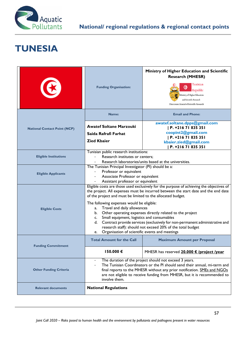

# **TUNESIA**

|                                     | <b>Funding Organisation:</b>                                                                                                                                                                                                                                 | Ministry of Higher Education and Scientific<br><b>Research (MHESR)</b><br>Tunisian<br>હ<br>Republic<br>Ministry of Higher Education<br>and Scientific Research<br>Directorate General of Scientific Research                                                                                                                                                                               |
|-------------------------------------|--------------------------------------------------------------------------------------------------------------------------------------------------------------------------------------------------------------------------------------------------------------|--------------------------------------------------------------------------------------------------------------------------------------------------------------------------------------------------------------------------------------------------------------------------------------------------------------------------------------------------------------------------------------------|
|                                     | <b>Name:</b>                                                                                                                                                                                                                                                 | <b>Email and Phone:</b>                                                                                                                                                                                                                                                                                                                                                                    |
| <b>National Contact Point (NCP)</b> | <b>Awatef Soltane Marzouki</b><br>Saida Rafrafi Farhat<br><b>Zied Kbaier</b>                                                                                                                                                                                 | awatef.soltane.dpps@gmail.com<br>  P. +216 71 835 351<br>coopint2@gmail.com<br>  P. +216 71 835 351<br>kbaier.zied@gmail.com<br>P. +216 71 835 351                                                                                                                                                                                                                                         |
| <b>Eligible Institutions</b>        | Tunisian public research institutions:<br>Research institutes or centers;                                                                                                                                                                                    | Research laboratories/units based at the universities.                                                                                                                                                                                                                                                                                                                                     |
| <b>Eligible Applicants</b>          | The Tunisian Principal Investigator (PI) should be a:<br>Professor or equivalent<br>Associate Professor or equivalent<br>Assistant professor or equivalent                                                                                                   |                                                                                                                                                                                                                                                                                                                                                                                            |
| <b>Eligible Costs</b>               | of the project and must be limited to the allocated budget.<br>The following expenses would be eligible:<br>a. Travel and daily allowances<br>Small equipment, logistics and consumables<br>c.<br>d.<br>Organisation of scientific events and meetings<br>e. | Eligible costs are those used exclusively for the purpose of achieving the objectives of<br>the project. All expenses must be incurred between the start date and the end date<br>b. Other operating expenses directly related to the project<br>Contract provide services (exclusively for non-permanent administrative and<br>research staff): should not exceed 20% of the total budget |
| <b>Funding Commitment</b>           | <b>Total Amount for the Call</b>                                                                                                                                                                                                                             | <b>Maximum Amount per Proposal</b>                                                                                                                                                                                                                                                                                                                                                         |
|                                     | 150.000€                                                                                                                                                                                                                                                     | MHESR has reserved 20.000 € /project /year                                                                                                                                                                                                                                                                                                                                                 |
| <b>Other Funding Criteria</b>       | involve them.                                                                                                                                                                                                                                                | The duration of the project should not exceed 3 years.<br>The Tunisian Coordinators or the PI should send their annual, mi-term and<br>final reports to the MHESR without any prior notification. SMEs and NGOs<br>are not eligible to receive funding from MHESR, but it is recommended to                                                                                                |
| <b>Relevant documents</b>           | <b>National Regulations</b>                                                                                                                                                                                                                                  |                                                                                                                                                                                                                                                                                                                                                                                            |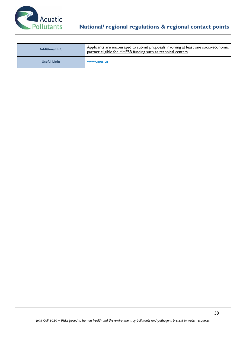

| <b>Additional Info</b> | Applicants are encouraged to submit proposals involving at least one socio-economic<br>partner eligible for MHESR funding such as technical centers. |
|------------------------|------------------------------------------------------------------------------------------------------------------------------------------------------|
| <b>Useful Links</b>    | www.mes.tn                                                                                                                                           |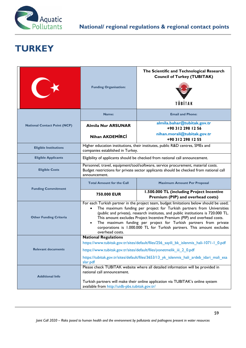

# **TURKEY**

|                                     | <b>Funding Organisation:</b>                                                                                                                                                                                                                                                                                                                                                                                                                                                                                      | The Scientific and Technological Research<br><b>Council of Turkey (TUBITAK)</b><br>TÜBİTAK |
|-------------------------------------|-------------------------------------------------------------------------------------------------------------------------------------------------------------------------------------------------------------------------------------------------------------------------------------------------------------------------------------------------------------------------------------------------------------------------------------------------------------------------------------------------------------------|--------------------------------------------------------------------------------------------|
| <b>National Contact Point (NCP)</b> | Name:                                                                                                                                                                                                                                                                                                                                                                                                                                                                                                             | <b>Email and Phone:</b>                                                                    |
|                                     | <b>Almila Nur ARSUNAR</b>                                                                                                                                                                                                                                                                                                                                                                                                                                                                                         | almila.bahar@tubitak.gov.tr<br>+90 312 298 12 56                                           |
|                                     | <b>Nihan AKDEMIRCI</b>                                                                                                                                                                                                                                                                                                                                                                                                                                                                                            | nihan.morali@tubitak.gov.tr<br>+90 312 298 12 55                                           |
| <b>Eligible Institutions</b>        | Higher education institutions, their institutes, public R&D centres, SMEs and<br>companies established in Turkey.                                                                                                                                                                                                                                                                                                                                                                                                 |                                                                                            |
| <b>Eligible Applicants</b>          | Eligibility of applicants should be checked from national call announcement.                                                                                                                                                                                                                                                                                                                                                                                                                                      |                                                                                            |
| <b>Eligible Costs</b>               | Personnel, travel, equipment/tool/software, service procurement, material costs.<br>Budget restrictions for private sector applicants should be checked from national call<br>announcement.                                                                                                                                                                                                                                                                                                                       |                                                                                            |
| <b>Funding Commitment</b>           | <b>Total Amount for the Call</b>                                                                                                                                                                                                                                                                                                                                                                                                                                                                                  | <b>Maximum Amount Per Proposal</b>                                                         |
|                                     | 750.000 EUR                                                                                                                                                                                                                                                                                                                                                                                                                                                                                                       | 1.500.000 TL (including Project Incentive<br>Premium (PIP) and overhead costs)             |
| <b>Other Funding Criteria</b>       | For each Turkish partner in the project team, budget limitations below should be used;<br>The maximum funding per project for Turkish partners from Universities<br>(public and private), research institutes, and public institutions is 720.000 TL.<br>This amount excludes Project Incentive Premium (PIP) and overhead costs.<br>The maximum funding per project for Turkish partners from private<br>$\bullet$<br>corporations is 1.000.000 TL for Turkish partners. This amount excludes<br>overhead costs. |                                                                                            |
| <b>Relevant documents</b>           | <b>National Regulations</b>                                                                                                                                                                                                                                                                                                                                                                                                                                                                                       |                                                                                            |
|                                     | https://www.tubitak.gov.tr/sites/default/files/256 sayili bk islenmis hali-1071-1 0.pdf                                                                                                                                                                                                                                                                                                                                                                                                                           |                                                                                            |
|                                     | https://www.tubitak.gov.tr/sites/default/files/yonetmelik_iii_2_0.pdf                                                                                                                                                                                                                                                                                                                                                                                                                                             |                                                                                            |
|                                     | https://tubitak.gov.tr/sites/default/files/3653/13 yk islenmis hali ardeb idari mali esa<br>slar.pdf                                                                                                                                                                                                                                                                                                                                                                                                              |                                                                                            |
| <b>Additional Info</b>              | Please check TUBITAK website where all detailed information will be provided in<br>national call announcement.                                                                                                                                                                                                                                                                                                                                                                                                    |                                                                                            |
|                                     | Turkish partners will make their online application via TUBITAK's online system<br>available from http://uidb-pbs.tubitak.gov.tr/                                                                                                                                                                                                                                                                                                                                                                                 |                                                                                            |